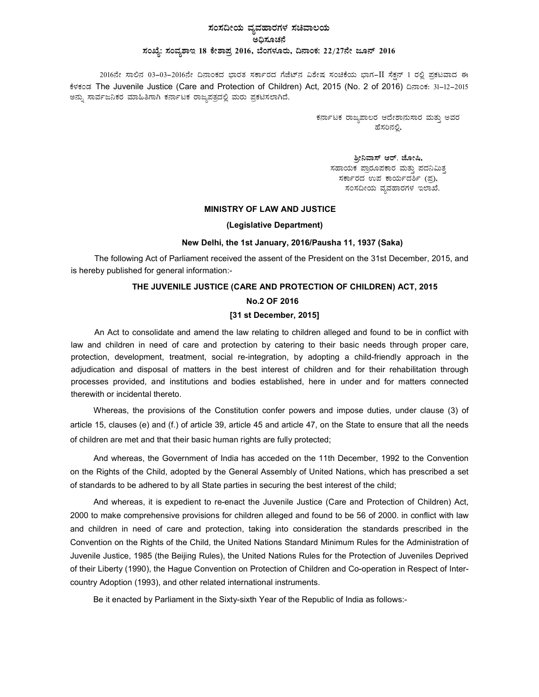## ಸಂಸದೀಯ ವ್ಯವಹಾರಗಳ ಸಚಿವಾಲಯ .<br>ಅದಿಸೂಚನೆ ಸಂಖ್ಯೆ: ಸಂವ್ಯಶಾಇ 18 ಕೇಶಾಪ್ರ 2016, ಬೆಂಗಳೂರು, ದಿನಾಂಕ: 22/27ನೇ ಜೂನ್ 2016

2016ನೇ ಸಾಲಿನ 03-03-2016ನೇ ದಿನಾಂಕದ ಭಾರತ ಸರ್ಕಾರದ ಗೆಜೆಟ್ನ ವಿಶೇಷ ಸಂಚಿಕೆಯ ಭಾಗ-II ಸೆಕ್ಷನ್ 1 ರಲ್ಲಿ ಪ್ರಕಟವಾದ ಈ ಕೆಳಕಂಡ The Juvenile Justice (Care and Protection of Children) Act, 2015 (No. 2 of 2016) ದಿನಾಂಕ: 31-12-2015 ಅನ್ನು ಸಾರ್ವಜನಿಕರ ಮಾಹಿತಿಗಾಗಿ ಕರ್ನಾಟಕ ರಾಜ್ಯಪತ್ರದಲ್ಲಿ ಮರು ಪ್ರಕಟಿಸಲಾಗಿದೆ.

> ಕರ್ನಾಟಕ ರಾಜ್ಯಪಾಲರ ಆದೇಶಾನುಸಾರ ಮತ್ತು ಅವರ ಹೆಸರಿನಲ್ಲಿ

ಶ್ರೀನಿವಾಸ್ ಆರ್. ಜೋಷಿ, ಸಹಾಯಕ ಪ್ರಾರೂಪಕಾರ ಮತ್ತು ಪದನಿಮಿತ್<u>ತ</u> ಸರ್ಕಾರದ ಉಪ ಕಾರ್ಯದರ್ಶಿ (ಪ್ರ), ಸಂಸದೀಯ ವ್ಯವಹಾರಗಳ ಇಲಾಖೆ.

### MINISTRY OF LAW AND JUSTICE

#### (Legislative Department)

### New Delhi, the 1st January, 2016/Pausha 11, 1937 (Saka)

The following Act of Parliament received the assent of the President on the 31st December, 2015, and is hereby published for general information:-

# THE JUVENILE JUSTICE (CARE AND PROTECTION OF CHILDREN) ACT, 2015

## No.2 OF 2016

### [31 st December, 2015]

An Act to consolidate and amend the law relating to children alleged and found to be in conflict with law and children in need of care and protection by catering to their basic needs through proper care, protection, development, treatment, social re-integration, by adopting a child-friendly approach in the adjudication and disposal of matters in the best interest of children and for their rehabilitation through processes provided, and institutions and bodies established, here in under and for matters connected therewith or incidental thereto.

Whereas, the provisions of the Constitution confer powers and impose duties, under clause (3) of article 15, clauses (e) and (f.) of article 39, article 45 and article 47, on the State to ensure that all the needs of children are met and that their basic human rights are fully protected;

And whereas, the Government of India has acceded on the 11th December, 1992 to the Convention on the Rights of the Child, adopted by the General Assembly of United Nations, which has prescribed a set of standards to be adhered to by all State parties in securing the best interest of the child;

And whereas, it is expedient to re-enact the Juvenile Justice (Care and Protection of Children) Act, 2000 to make comprehensive provisions for children alleged and found to be 56 of 2000. in conflict with law and children in need of care and protection, taking into consideration the standards prescribed in the Convention on the Rights of the Child, the United Nations Standard Minimum Rules for the Administration of Juvenile Justice, 1985 (the Beijing Rules), the United Nations Rules for the Protection of Juveniles Deprived of their Liberty (1990), the Hague Convention on Protection of Children and Co-operation in Respect of Intercountry Adoption (1993), and other related international instruments.

Be it enacted by Parliament in the Sixty-sixth Year of the Republic of India as follows:-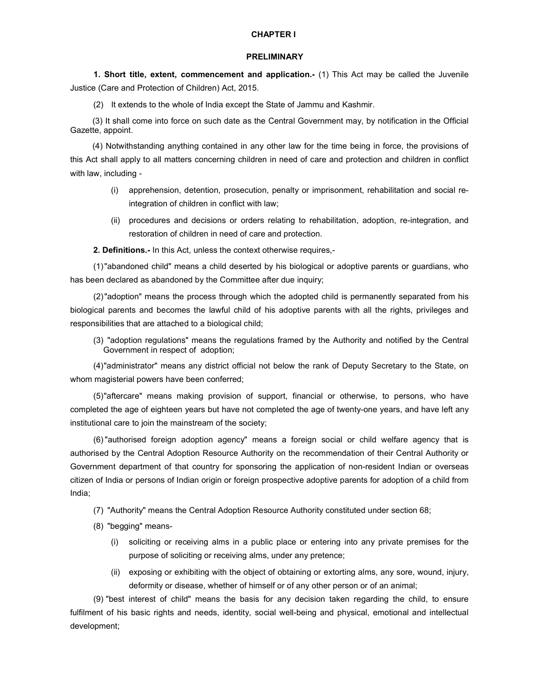### CHAPTER I

#### PRELIMINARY

1. Short title, extent, commencement and application.- (1) This Act may be called the Juvenile Justice (Care and Protection of Children) Act, 2015.

(2) It extends to the whole of India except the State of Jammu and Kashmir.

 (3) It shall come into force on such date as the Central Government may, by notification in the Official Gazette, appoint.

(4) Notwithstanding anything contained in any other law for the time being in force, the provisions of this Act shall apply to all matters concerning children in need of care and protection and children in conflict with law, including -

- (i) apprehension, detention, prosecution, penalty or imprisonment, rehabilitation and social reintegration of children in conflict with law;
- (ii) procedures and decisions or orders relating to rehabilitation, adoption, re-integration, and restoration of children in need of care and protection.

2. Definitions.- In this Act, unless the context otherwise requires,-

(1) "abandoned child" means a child deserted by his biological or adoptive parents or guardians, who has been declared as abandoned by the Committee after due inquiry;

(2) "adoption" means the process through which the adopted child is permanently separated from his biological parents and becomes the lawful child of his adoptive parents with all the rights, privileges and responsibilities that are attached to a biological child;

(3) "adoption regulations" means the regulations framed by the Authority and notified by the Central Government in respect of adoption;

(4) "administrator" means any district official not below the rank of Deputy Secretary to the State, on whom magisterial powers have been conferred;

(5) "aftercare" means making provision of support, financial or otherwise, to persons, who have completed the age of eighteen years but have not completed the age of twenty-one years, and have left any institutional care to join the mainstream of the society;

(6) "authorised foreign adoption agency" means a foreign social or child welfare agency that is authorised by the Central Adoption Resource Authority on the recommendation of their Central Authority or Government department of that country for sponsoring the application of non-resident Indian or overseas citizen of India or persons of Indian origin or foreign prospective adoptive parents for adoption of a child from India;

(7) "Authority" means the Central Adoption Resource Authority constituted under section 68;

- (8) "begging" means-
	- (i) soliciting or receiving alms in a public place or entering into any private premises for the purpose of soliciting or receiving alms, under any pretence;
	- (ii) exposing or exhibiting with the object of obtaining or extorting alms, any sore, wound, injury, deformity or disease, whether of himself or of any other person or of an animal;

(9) "best interest of child" means the basis for any decision taken regarding the child, to ensure fulfilment of his basic rights and needs, identity, social well-being and physical, emotional and intellectual development;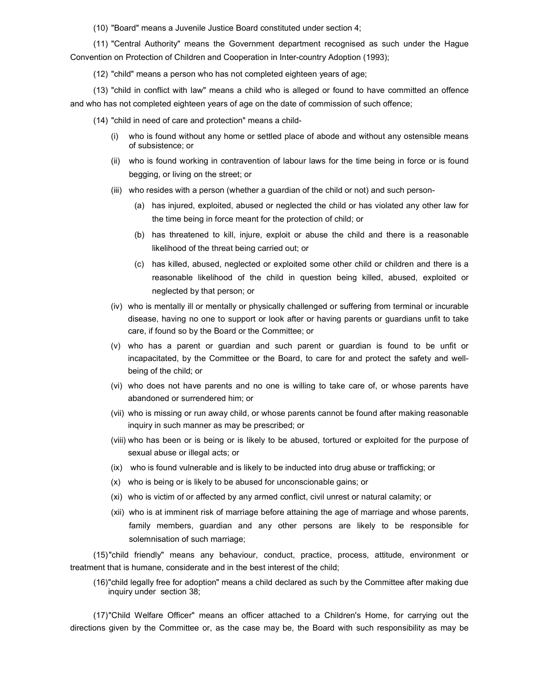(10) "Board" means a Juvenile Justice Board constituted under section 4;

(11) "Central Authority" means the Government department recognised as such under the Hague Convention on Protection of Children and Cooperation in Inter-country Adoption (1993);

(12) "child" means a person who has not completed eighteen years of age;

(13) "child in conflict with law" means a child who is alleged or found to have committed an offence and who has not completed eighteen years of age on the date of commission of such offence;

(14) "child in need of care and protection" means a child-

- (i) who is found without any home or settled place of abode and without any ostensible means of subsistence; or
- (ii) who is found working in contravention of labour laws for the time being in force or is found begging, or living on the street; or
- (iii) who resides with a person (whether a guardian of the child or not) and such person-
	- (a) has injured, exploited, abused or neglected the child or has violated any other law for the time being in force meant for the protection of child; or
	- (b) has threatened to kill, injure, exploit or abuse the child and there is a reasonable likelihood of the threat being carried out; or
	- (c) has killed, abused, neglected or exploited some other child or children and there is a reasonable likelihood of the child in question being killed, abused, exploited or neglected by that person; or
- (iv) who is mentally ill or mentally or physically challenged or suffering from terminal or incurable disease, having no one to support or look after or having parents or guardians unfit to take care, if found so by the Board or the Committee; or
- (v) who has a parent or guardian and such parent or guardian is found to be unfit or incapacitated, by the Committee or the Board, to care for and protect the safety and wellbeing of the child; or
- (vi) who does not have parents and no one is willing to take care of, or whose parents have abandoned or surrendered him; or
- (vii) who is missing or run away child, or whose parents cannot be found after making reasonable inquiry in such manner as may be prescribed; or
- (viii) who has been or is being or is likely to be abused, tortured or exploited for the purpose of sexual abuse or illegal acts; or
- (ix) who is found vulnerable and is likely to be inducted into drug abuse or trafficking; or
- (x) who is being or is likely to be abused for unconscionable gains; or
- (xi) who is victim of or affected by any armed conflict, civil unrest or natural calamity; or
- (xii) who is at imminent risk of marriage before attaining the age of marriage and whose parents, family members, guardian and any other persons are likely to be responsible for solemnisation of such marriage;

(15) "child friendly" means any behaviour, conduct, practice, process, attitude, environment or treatment that is humane, considerate and in the best interest of the child;

(16) "child legally free for adoption" means a child declared as such by the Committee after making due inquiry under section 38;

(17) "Child Welfare Officer" means an officer attached to a Children's Home, for carrying out the directions given by the Committee or, as the case may be, the Board with such responsibility as may be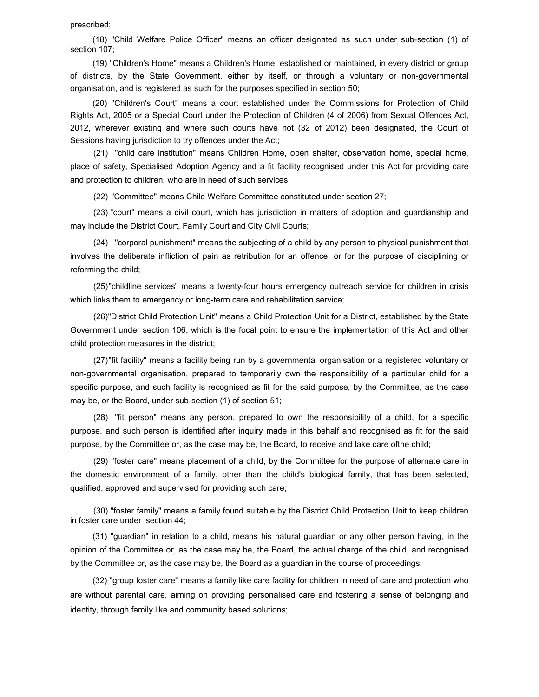#### prescribed;

 (18) "Child Welfare Police Officer" means an officer designated as such under sub-section (1) of section 107;

 (19) "Children's Home" means a Children's Home, established or maintained, in every district or group of districts, by the State Government, either by itself, or through a voluntary or non-governmental organisation, and is registered as such for the purposes specified in section 50;

 (20) "Children's Court" means a court established under the Commissions for Protection of Child Rights Act, 2005 or a Special Court under the Protection of Children (4 of 2006) from Sexual Offences Act, 2012, wherever existing and where such courts have not (32 of 2012) been designated, the Court of Sessions having jurisdiction to try offences under the Act;

(21) "child care institution" means Children Home, open shelter, observation home, special home, place of safety, Specialised Adoption Agency and a fit facility recognised under this Act for providing care and protection to children, who are in need of such services;

(22) "Committee" means Child Welfare Committee constituted under section 27;

(23) "court" means a civil court, which has jurisdiction in matters of adoption and guardianship and may include the District Court, Family Court and City Civil Courts;

(24) "corporal punishment" means the subjecting of a child by any person to physical punishment that involves the deliberate infliction of pain as retribution for an offence, or for the purpose of disciplining or reforming the child;

(25) "childline services" means a twenty-four hours emergency outreach service for children in crisis which links them to emergency or long-term care and rehabilitation service;

(26) "District Child Protection Unit" means a Child Protection Unit for a District, established by the State Government under section 106, which is the focal point to ensure the implementation of this Act and other child protection measures in the district;

(27) "fit facility" means a facility being run by a governmental organisation or a registered voluntary or non-governmental organisation, prepared to temporarily own the responsibility of a particular child for a specific purpose, and such facility is recognised as fit for the said purpose, by the Committee, as the case may be, or the Board, under sub-section (1) of section 51;

(28) "fit person" means any person, prepared to own the responsibility of a child, for a specific purpose, and such person is identified after inquiry made in this behalf and recognised as fit for the said purpose, by the Committee or, as the case may be, the Board, to receive and take care ofthe child;

(29) "foster care" means placement of a child, by the Committee for the purpose of alternate care in the domestic environment of a family, other than the child's biological family, that has been selected, qualified, approved and supervised for providing such care;

(30) "foster family" means a family found suitable by the District Child Protection Unit to keep children in foster care under section 44;

 (31) "guardian" in relation to a child, means his natural guardian or any other person having, in the opinion of the Committee or, as the case may be, the Board, the actual charge of the child, and recognised by the Committee or, as the case may be, the Board as a guardian in the course of proceedings;

 (32) "group foster care" means a family like care facility for children in need of care and protection who are without parental care, aiming on providing personalised care and fostering a sense of belonging and identity, through family like and community based solutions;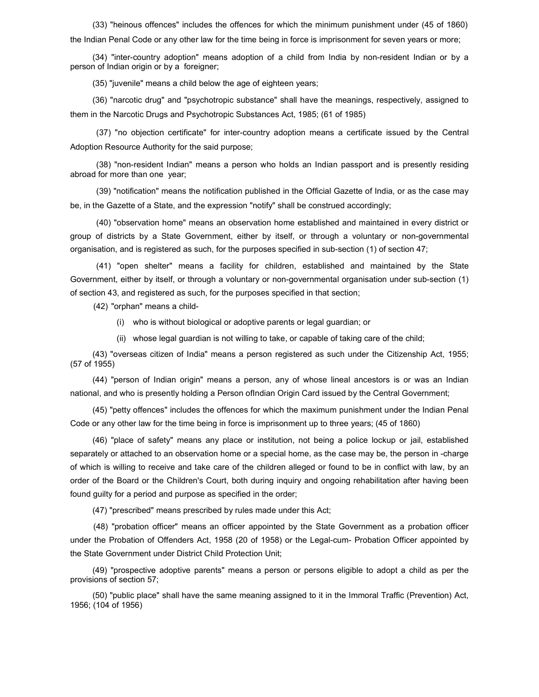(33) "heinous offences" includes the offences for which the minimum punishment under (45 of 1860) the Indian Penal Code or any other law for the time being in force is imprisonment for seven years or more;

 (34) "inter-country adoption" means adoption of a child from India by non-resident Indian or by a person of Indian origin or by a foreigner;

(35) "juvenile" means a child below the age of eighteen years;

 (36) "narcotic drug" and "psychotropic substance" shall have the meanings, respectively, assigned to them in the Narcotic Drugs and Psychotropic Substances Act, 1985; (61 of 1985)

 (37) "no objection certificate" for inter-country adoption means a certificate issued by the Central Adoption Resource Authority for the said purpose;

 (38) "non-resident Indian" means a person who holds an Indian passport and is presently residing abroad for more than one year;

 (39) "notification" means the notification published in the Official Gazette of India, or as the case may be, in the Gazette of a State, and the expression "notify" shall be construed accordingly;

 (40) "observation home" means an observation home established and maintained in every district or group of districts by a State Government, either by itself, or through a voluntary or non-governmental organisation, and is registered as such, for the purposes specified in sub-section (1) of section 47;

 (41) "open shelter" means a facility for children, established and maintained by the State Government, either by itself, or through a voluntary or non-governmental organisation under sub-section (1) of section 43, and registered as such, for the purposes specified in that section;

(42) "orphan" means a child-

- (i) who is without biological or adoptive parents or legal guardian; or
- (ii) whose legal guardian is not willing to take, or capable of taking care of the child;

 (43) "overseas citizen of India" means a person registered as such under the Citizenship Act, 1955; (57 of 1955)

 (44) "person of Indian origin" means a person, any of whose lineal ancestors is or was an Indian national, and who is presently holding a Person ofIndian Origin Card issued by the Central Government;

 (45) "petty offences" includes the offences for which the maximum punishment under the Indian Penal Code or any other law for the time being in force is imprisonment up to three years; (45 of 1860)

 (46) "place of safety" means any place or institution, not being a police lockup or jail, established separately or attached to an observation home or a special home, as the case may be, the person in -charge of which is willing to receive and take care of the children alleged or found to be in conflict with law, by an order of the Board or the Children's Court, both during inquiry and ongoing rehabilitation after having been found guilty for a period and purpose as specified in the order;

(47) "prescribed" means prescribed by rules made under this Act;

(48) "probation officer" means an officer appointed by the State Government as a probation officer under the Probation of Offenders Act, 1958 (20 of 1958) or the Legal-cum- Probation Officer appointed by the State Government under District Child Protection Unit;

 (49) "prospective adoptive parents" means a person or persons eligible to adopt a child as per the provisions of section 57;

 (50) "public place" shall have the same meaning assigned to it in the Immoral Traffic (Prevention) Act, 1956; (104 of 1956)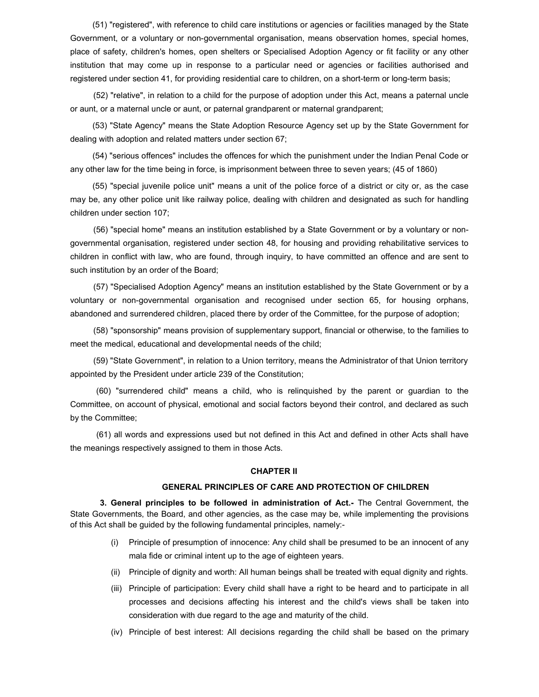(51) "registered", with reference to child care institutions or agencies or facilities managed by the State Government, or a voluntary or non-governmental organisation, means observation homes, special homes, place of safety, children's homes, open shelters or Specialised Adoption Agency or fit facility or any other institution that may come up in response to a particular need or agencies or facilities authorised and registered under section 41, for providing residential care to children, on a short-term or long-term basis;

(52) "relative", in relation to a child for the purpose of adoption under this Act, means a paternal uncle or aunt, or a maternal uncle or aunt, or paternal grandparent or maternal grandparent;

 (53) "State Agency" means the State Adoption Resource Agency set up by the State Government for dealing with adoption and related matters under section 67;

 (54) "serious offences" includes the offences for which the punishment under the Indian Penal Code or any other law for the time being in force, is imprisonment between three to seven years; (45 of 1860)

 (55) "special juvenile police unit" means a unit of the police force of a district or city or, as the case may be, any other police unit like railway police, dealing with children and designated as such for handling children under section 107;

(56) "special home" means an institution established by a State Government or by a voluntary or nongovernmental organisation, registered under section 48, for housing and providing rehabilitative services to children in conflict with law, who are found, through inquiry, to have committed an offence and are sent to such institution by an order of the Board;

(57) "Specialised Adoption Agency" means an institution established by the State Government or by a voluntary or non-governmental organisation and recognised under section 65, for housing orphans, abandoned and surrendered children, placed there by order of the Committee, for the purpose of adoption;

(58) "sponsorship" means provision of supplementary support, financial or otherwise, to the families to meet the medical, educational and developmental needs of the child;

(59) "State Government", in relation to a Union territory, means the Administrator of that Union territory appointed by the President under article 239 of the Constitution;

 (60) "surrendered child" means a child, who is relinquished by the parent or guardian to the Committee, on account of physical, emotional and social factors beyond their control, and declared as such by the Committee;

(61) all words and expressions used but not defined in this Act and defined in other Acts shall have the meanings respectively assigned to them in those Acts.

#### CHAPTER II

#### GENERAL PRINCIPLES OF CARE AND PROTECTION OF CHILDREN

3. General principles to be followed in administration of Act.- The Central Government, the State Governments, the Board, and other agencies, as the case may be, while implementing the provisions of this Act shall be guided by the following fundamental principles, namely:-

- (i) Principle of presumption of innocence: Any child shall be presumed to be an innocent of any mala fide or criminal intent up to the age of eighteen years.
- (ii) Principle of dignity and worth: All human beings shall be treated with equal dignity and rights.
- (iii) Principle of participation: Every child shall have a right to be heard and to participate in all processes and decisions affecting his interest and the child's views shall be taken into consideration with due regard to the age and maturity of the child.
- (iv) Principle of best interest: All decisions regarding the child shall be based on the primary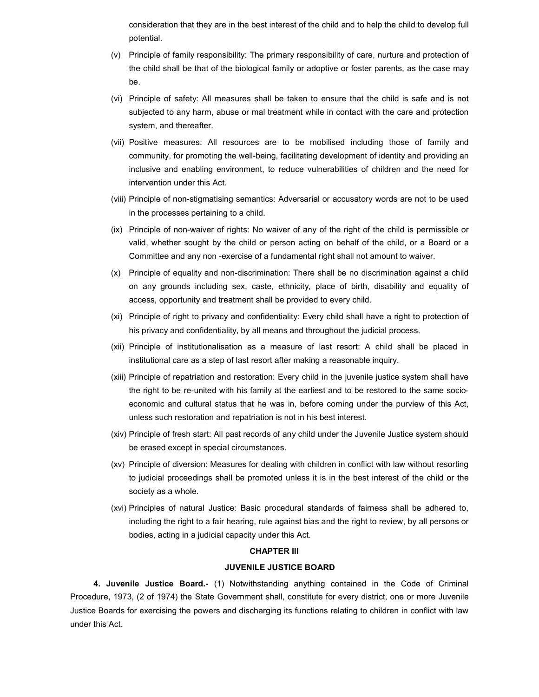consideration that they are in the best interest of the child and to help the child to develop full potential.

- (v) Principle of family responsibility: The primary responsibility of care, nurture and protection of the child shall be that of the biological family or adoptive or foster parents, as the case may be.
- (vi) Principle of safety: All measures shall be taken to ensure that the child is safe and is not subjected to any harm, abuse or mal treatment while in contact with the care and protection system, and thereafter.
- (vii) Positive measures: All resources are to be mobilised including those of family and community, for promoting the well-being, facilitating development of identity and providing an inclusive and enabling environment, to reduce vulnerabilities of children and the need for intervention under this Act.
- (viii) Principle of non-stigmatising semantics: Adversarial or accusatory words are not to be used in the processes pertaining to a child.
- (ix) Principle of non-waiver of rights: No waiver of any of the right of the child is permissible or valid, whether sought by the child or person acting on behalf of the child, or a Board or a Committee and any non -exercise of a fundamental right shall not amount to waiver.
- (x) Principle of equality and non-discrimination: There shall be no discrimination against a child on any grounds including sex, caste, ethnicity, place of birth, disability and equality of access, opportunity and treatment shall be provided to every child.
- (xi) Principle of right to privacy and confidentiality: Every child shall have a right to protection of his privacy and confidentiality, by all means and throughout the judicial process.
- (xii) Principle of institutionalisation as a measure of last resort: A child shall be placed in institutional care as a step of last resort after making a reasonable inquiry.
- (xiii) Principle of repatriation and restoration: Every child in the juvenile justice system shall have the right to be re-united with his family at the earliest and to be restored to the same socioeconomic and cultural status that he was in, before coming under the purview of this Act, unless such restoration and repatriation is not in his best interest.
- (xiv) Principle of fresh start: All past records of any child under the Juvenile Justice system should be erased except in special circumstances.
- (xv) Principle of diversion: Measures for dealing with children in conflict with law without resorting to judicial proceedings shall be promoted unless it is in the best interest of the child or the society as a whole.
- (xvi) Principles of natural Justice: Basic procedural standards of fairness shall be adhered to, including the right to a fair hearing, rule against bias and the right to review, by all persons or bodies, acting in a judicial capacity under this Act.

## CHAPTER III

### JUVENILE JUSTICE BOARD

4. Juvenile Justice Board.- (1) Notwithstanding anything contained in the Code of Criminal Procedure, 1973, (2 of 1974) the State Government shall, constitute for every district, one or more Juvenile Justice Boards for exercising the powers and discharging its functions relating to children in conflict with law under this Act.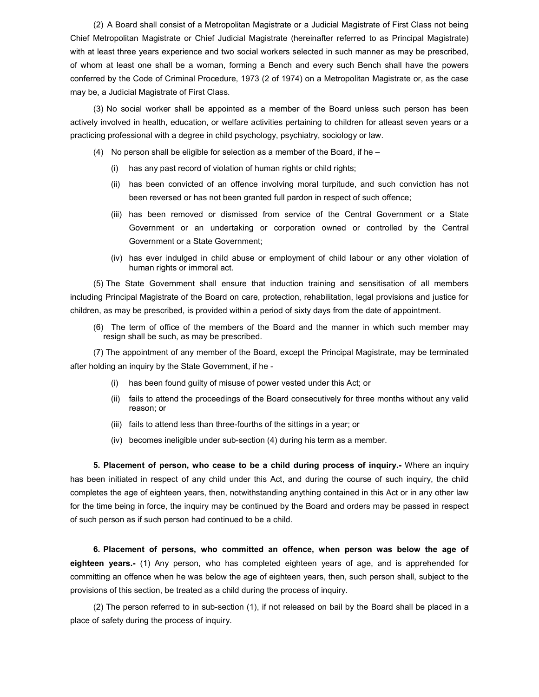(2) A Board shall consist of a Metropolitan Magistrate or a Judicial Magistrate of First Class not being Chief Metropolitan Magistrate or Chief Judicial Magistrate (hereinafter referred to as Principal Magistrate) with at least three years experience and two social workers selected in such manner as may be prescribed, of whom at least one shall be a woman, forming a Bench and every such Bench shall have the powers conferred by the Code of Criminal Procedure, 1973 (2 of 1974) on a Metropolitan Magistrate or, as the case may be, a Judicial Magistrate of First Class.

(3) No social worker shall be appointed as a member of the Board unless such person has been actively involved in health, education, or welfare activities pertaining to children for atleast seven years or a practicing professional with a degree in child psychology, psychiatry, sociology or law.

- (4) No person shall be eligible for selection as a member of the Board, if he  $-$ 
	- (i) has any past record of violation of human rights or child rights;
	- (ii) has been convicted of an offence involving moral turpitude, and such conviction has not been reversed or has not been granted full pardon in respect of such offence;
	- (iii) has been removed or dismissed from service of the Central Government or a State Government or an undertaking or corporation owned or controlled by the Central Government or a State Government;
	- (iv) has ever indulged in child abuse or employment of child labour or any other violation of human rights or immoral act.

(5) The State Government shall ensure that induction training and sensitisation of all members including Principal Magistrate of the Board on care, protection, rehabilitation, legal provisions and justice for children, as may be prescribed, is provided within a period of sixty days from the date of appointment.

(6) The term of office of the members of the Board and the manner in which such member may resign shall be such, as may be prescribed.

(7) The appointment of any member of the Board, except the Principal Magistrate, may be terminated after holding an inquiry by the State Government, if he -

- (i) has been found guilty of misuse of power vested under this Act; or
- (ii) fails to attend the proceedings of the Board consecutively for three months without any valid reason; or
- (iii) fails to attend less than three-fourths of the sittings in a year; or
- (iv) becomes ineligible under sub-section (4) during his term as a member.

5. Placement of person, who cease to be a child during process of inquiry.- Where an inquiry has been initiated in respect of any child under this Act, and during the course of such inquiry, the child completes the age of eighteen years, then, notwithstanding anything contained in this Act or in any other law for the time being in force, the inquiry may be continued by the Board and orders may be passed in respect of such person as if such person had continued to be a child.

6. Placement of persons, who committed an offence, when person was below the age of eighteen years.- (1) Any person, who has completed eighteen years of age, and is apprehended for committing an offence when he was below the age of eighteen years, then, such person shall, subject to the provisions of this section, be treated as a child during the process of inquiry.

(2) The person referred to in sub-section (1), if not released on bail by the Board shall be placed in a place of safety during the process of inquiry.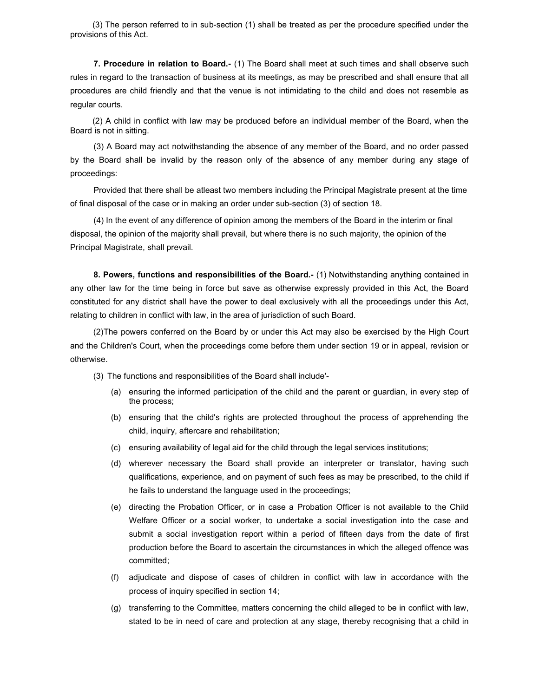(3) The person referred to in sub-section (1) shall be treated as per the procedure specified under the provisions of this Act.

7. Procedure in relation to Board.- (1) The Board shall meet at such times and shall observe such rules in regard to the transaction of business at its meetings, as may be prescribed and shall ensure that all procedures are child friendly and that the venue is not intimidating to the child and does not resemble as regular courts.

 (2) A child in conflict with law may be produced before an individual member of the Board, when the Board is not in sitting.

(3) A Board may act notwithstanding the absence of any member of the Board, and no order passed by the Board shall be invalid by the reason only of the absence of any member during any stage of proceedings:

Provided that there shall be atleast two members including the Principal Magistrate present at the time of final disposal of the case or in making an order under sub-section (3) of section 18.

(4) In the event of any difference of opinion among the members of the Board in the interim or final disposal, the opinion of the majority shall prevail, but where there is no such majority, the opinion of the Principal Magistrate, shall prevail.

8. Powers, functions and responsibilities of the Board.- (1) Notwithstanding anything contained in any other law for the time being in force but save as otherwise expressly provided in this Act, the Board constituted for any district shall have the power to deal exclusively with all the proceedings under this Act, relating to children in conflict with law, in the area of jurisdiction of such Board.

(2) The powers conferred on the Board by or under this Act may also be exercised by the High Court and the Children's Court, when the proceedings come before them under section 19 or in appeal, revision or otherwise.

(3) The functions and responsibilities of the Board shall include'-

- (a) ensuring the informed participation of the child and the parent or guardian, in every step of the process;
- (b) ensuring that the child's rights are protected throughout the process of apprehending the child, inquiry, aftercare and rehabilitation;
- (c) ensuring availability of legal aid for the child through the legal services institutions;
- (d) wherever necessary the Board shall provide an interpreter or translator, having such qualifications, experience, and on payment of such fees as may be prescribed, to the child if he fails to understand the language used in the proceedings;
- (e) directing the Probation Officer, or in case a Probation Officer is not available to the Child Welfare Officer or a social worker, to undertake a social investigation into the case and submit a social investigation report within a period of fifteen days from the date of first production before the Board to ascertain the circumstances in which the alleged offence was committed;
- (f) adjudicate and dispose of cases of children in conflict with law in accordance with the process of inquiry specified in section 14;
- (g) transferring to the Committee, matters concerning the child alleged to be in conflict with law, stated to be in need of care and protection at any stage, thereby recognising that a child in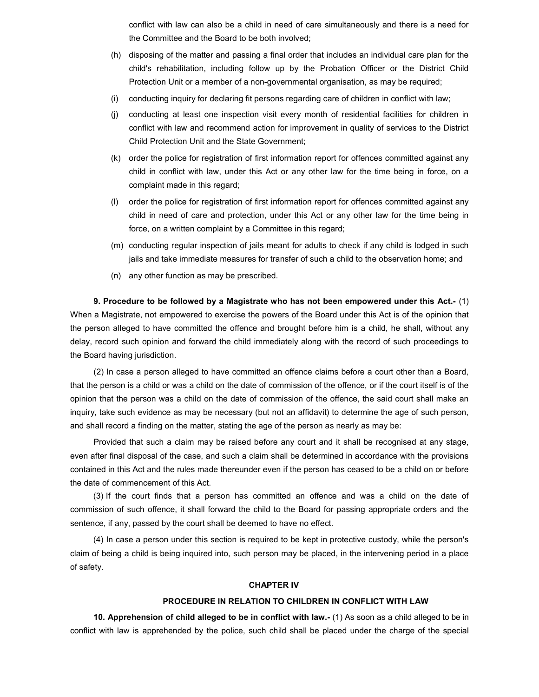conflict with law can also be a child in need of care simultaneously and there is a need for the Committee and the Board to be both involved;

- (h) disposing of the matter and passing a final order that includes an individual care plan for the child's rehabilitation, including follow up by the Probation Officer or the District Child Protection Unit or a member of a non-governmental organisation, as may be required;
- (i) conducting inquiry for declaring fit persons regarding care of children in conflict with law;
- (j) conducting at least one inspection visit every month of residential facilities for children in conflict with law and recommend action for improvement in quality of services to the District Child Protection Unit and the State Government;
- (k) order the police for registration of first information report for offences committed against any child in conflict with law, under this Act or any other law for the time being in force, on a complaint made in this regard;
- (l) order the police for registration of first information report for offences committed against any child in need of care and protection, under this Act or any other law for the time being in force, on a written complaint by a Committee in this regard;
- (m) conducting regular inspection of jails meant for adults to check if any child is lodged in such jails and take immediate measures for transfer of such a child to the observation home; and
- (n) any other function as may be prescribed.

9. Procedure to be followed by a Magistrate who has not been empowered under this Act.-  $(1)$ When a Magistrate, not empowered to exercise the powers of the Board under this Act is of the opinion that the person alleged to have committed the offence and brought before him is a child, he shall, without any delay, record such opinion and forward the child immediately along with the record of such proceedings to the Board having jurisdiction.

(2) In case a person alleged to have committed an offence claims before a court other than a Board, that the person is a child or was a child on the date of commission of the offence, or if the court itself is of the opinion that the person was a child on the date of commission of the offence, the said court shall make an inquiry, take such evidence as may be necessary (but not an affidavit) to determine the age of such person, and shall record a finding on the matter, stating the age of the person as nearly as may be:

Provided that such a claim may be raised before any court and it shall be recognised at any stage, even after final disposal of the case, and such a claim shall be determined in accordance with the provisions contained in this Act and the rules made thereunder even if the person has ceased to be a child on or before the date of commencement of this Act.

(3) If the court finds that a person has committed an offence and was a child on the date of commission of such offence, it shall forward the child to the Board for passing appropriate orders and the sentence, if any, passed by the court shall be deemed to have no effect.

(4) In case a person under this section is required to be kept in protective custody, while the person's claim of being a child is being inquired into, such person may be placed, in the intervening period in a place of safety.

### CHAPTER IV

## PROCEDURE IN RELATION TO CHILDREN IN CONFLICT WITH LAW

10. Apprehension of child alleged to be in conflict with law.- (1) As soon as a child alleged to be in conflict with law is apprehended by the police, such child shall be placed under the charge of the special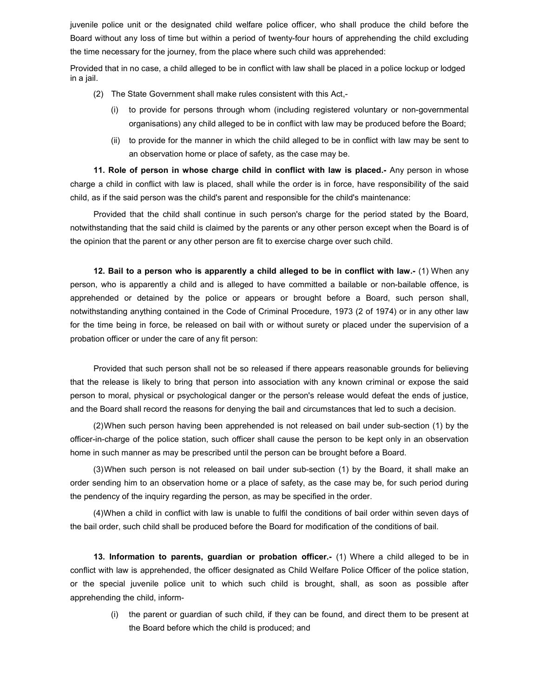juvenile police unit or the designated child welfare police officer, who shall produce the child before the Board without any loss of time but within a period of twenty-four hours of apprehending the child excluding the time necessary for the journey, from the place where such child was apprehended:

Provided that in no case, a child alleged to be in conflict with law shall be placed in a police lockup or lodged in a jail.

- (2) The State Government shall make rules consistent with this Act,-
	- (i) to provide for persons through whom (including registered voluntary or non-governmental organisations) any child alleged to be in conflict with law may be produced before the Board;
	- (ii) to provide for the manner in which the child alleged to be in conflict with law may be sent to an observation home or place of safety, as the case may be.

11. Role of person in whose charge child in conflict with law is placed.- Any person in whose charge a child in conflict with law is placed, shall while the order is in force, have responsibility of the said child, as if the said person was the child's parent and responsible for the child's maintenance:

Provided that the child shall continue in such person's charge for the period stated by the Board, notwithstanding that the said child is claimed by the parents or any other person except when the Board is of the opinion that the parent or any other person are fit to exercise charge over such child.

12. Bail to a person who is apparently a child alleged to be in conflict with law.- (1) When any person, who is apparently a child and is alleged to have committed a bailable or non-bailable offence, is apprehended or detained by the police or appears or brought before a Board, such person shall, notwithstanding anything contained in the Code of Criminal Procedure, 1973 (2 of 1974) or in any other law for the time being in force, be released on bail with or without surety or placed under the supervision of a probation officer or under the care of any fit person:

Provided that such person shall not be so released if there appears reasonable grounds for believing that the release is likely to bring that person into association with any known criminal or expose the said person to moral, physical or psychological danger or the person's release would defeat the ends of justice, and the Board shall record the reasons for denying the bail and circumstances that led to such a decision.

(2) When such person having been apprehended is not released on bail under sub-section (1) by the officer-in-charge of the police station, such officer shall cause the person to be kept only in an observation home in such manner as may be prescribed until the person can be brought before a Board.

(3) When such person is not released on bail under sub-section (1) by the Board, it shall make an order sending him to an observation home or a place of safety, as the case may be, for such period during the pendency of the inquiry regarding the person, as may be specified in the order.

(4) When a child in conflict with law is unable to fulfil the conditions of bail order within seven days of the bail order, such child shall be produced before the Board for modification of the conditions of bail.

13. Information to parents, guardian or probation officer.- (1) Where a child alleged to be in conflict with law is apprehended, the officer designated as Child Welfare Police Officer of the police station, or the special juvenile police unit to which such child is brought, shall, as soon as possible after apprehending the child, inform-

(i) the parent or guardian of such child, if they can be found, and direct them to be present at the Board before which the child is produced; and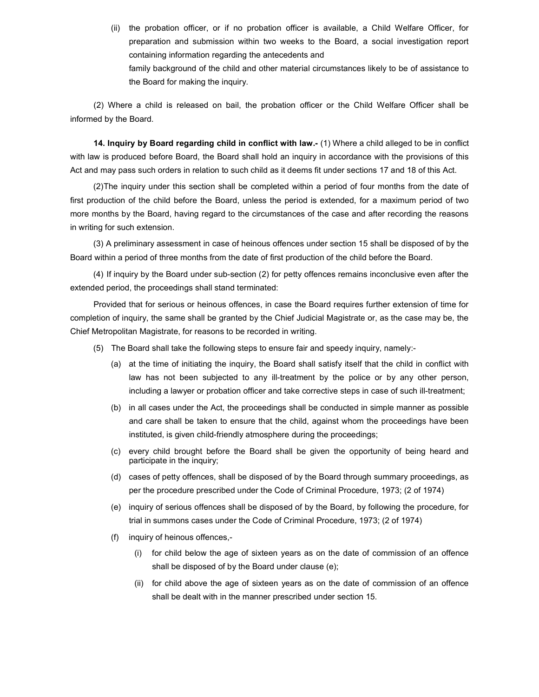(ii) the probation officer, or if no probation officer is available, a Child Welfare Officer, for preparation and submission within two weeks to the Board, a social investigation report containing information regarding the antecedents and family background of the child and other material circumstances likely to be of assistance to the Board for making the inquiry.

(2) Where a child is released on bail, the probation officer or the Child Welfare Officer shall be informed by the Board.

14. Inquiry by Board regarding child in conflict with law.- (1) Where a child alleged to be in conflict with law is produced before Board, the Board shall hold an inquiry in accordance with the provisions of this Act and may pass such orders in relation to such child as it deems fit under sections 17 and 18 of this Act.

(2) The inquiry under this section shall be completed within a period of four months from the date of first production of the child before the Board, unless the period is extended, for a maximum period of two more months by the Board, having regard to the circumstances of the case and after recording the reasons in writing for such extension.

(3) A preliminary assessment in case of heinous offences under section 15 shall be disposed of by the Board within a period of three months from the date of first production of the child before the Board.

(4) If inquiry by the Board under sub-section (2) for petty offences remains inconclusive even after the extended period, the proceedings shall stand terminated:

Provided that for serious or heinous offences, in case the Board requires further extension of time for completion of inquiry, the same shall be granted by the Chief Judicial Magistrate or, as the case may be, the Chief Metropolitan Magistrate, for reasons to be recorded in writing.

- (5) The Board shall take the following steps to ensure fair and speedy inquiry, namely:-
	- (a) at the time of initiating the inquiry, the Board shall satisfy itself that the child in conflict with law has not been subjected to any ill-treatment by the police or by any other person, including a lawyer or probation officer and take corrective steps in case of such ill-treatment;
	- (b) in all cases under the Act, the proceedings shall be conducted in simple manner as possible and care shall be taken to ensure that the child, against whom the proceedings have been instituted, is given child-friendly atmosphere during the proceedings;
	- (c) every child brought before the Board shall be given the opportunity of being heard and participate in the inquiry;
	- (d) cases of petty offences, shall be disposed of by the Board through summary proceedings, as per the procedure prescribed under the Code of Criminal Procedure, 1973; (2 of 1974)
	- (e) inquiry of serious offences shall be disposed of by the Board, by following the procedure, for trial in summons cases under the Code of Criminal Procedure, 1973; (2 of 1974)
	- (f) inquiry of heinous offences,-
		- (i) for child below the age of sixteen years as on the date of commission of an offence shall be disposed of by the Board under clause (e);
		- (ii) for child above the age of sixteen years as on the date of commission of an offence shall be dealt with in the manner prescribed under section 15.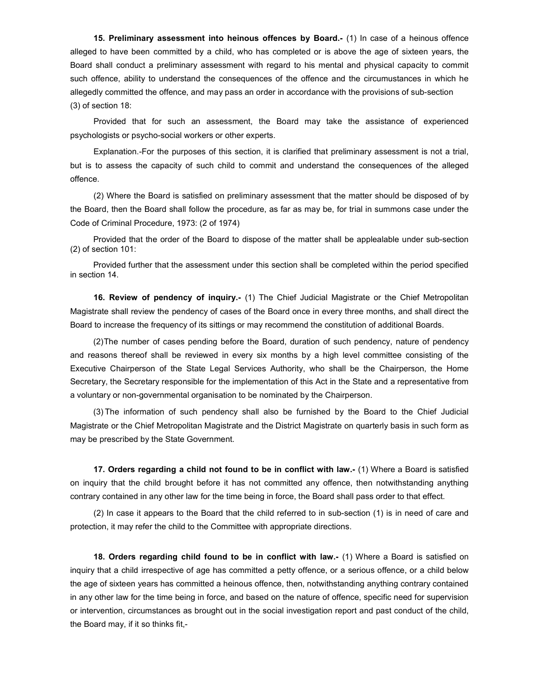15. Preliminary assessment into heinous offences by Board.- (1) In case of a heinous offence alleged to have been committed by a child, who has completed or is above the age of sixteen years, the Board shall conduct a preliminary assessment with regard to his mental and physical capacity to commit such offence, ability to understand the consequences of the offence and the circumustances in which he allegedly committed the offence, and may pass an order in accordance with the provisions of sub-section (3) of section 18:

Provided that for such an assessment, the Board may take the assistance of experienced psychologists or psycho-social workers or other experts.

Explanation.-For the purposes of this section, it is clarified that preliminary assessment is not a trial, but is to assess the capacity of such child to commit and understand the consequences of the alleged offence.

(2) Where the Board is satisfied on preliminary assessment that the matter should be disposed of by the Board, then the Board shall follow the procedure, as far as may be, for trial in summons case under the Code of Criminal Procedure, 1973: (2 of 1974)

Provided that the order of the Board to dispose of the matter shall be applealable under sub-section (2) of section 101:

Provided further that the assessment under this section shall be completed within the period specified in section 14.

16. Review of pendency of inquiry.- (1) The Chief Judicial Magistrate or the Chief Metropolitan Magistrate shall review the pendency of cases of the Board once in every three months, and shall direct the Board to increase the frequency of its sittings or may recommend the constitution of additional Boards.

(2) The number of cases pending before the Board, duration of such pendency, nature of pendency and reasons thereof shall be reviewed in every six months by a high level committee consisting of the Executive Chairperson of the State Legal Services Authority, who shall be the Chairperson, the Home Secretary, the Secretary responsible for the implementation of this Act in the State and a representative from a voluntary or non-governmental organisation to be nominated by the Chairperson.

(3) The information of such pendency shall also be furnished by the Board to the Chief Judicial Magistrate or the Chief Metropolitan Magistrate and the District Magistrate on quarterly basis in such form as may be prescribed by the State Government.

17. Orders regarding a child not found to be in conflict with law.- (1) Where a Board is satisfied on inquiry that the child brought before it has not committed any offence, then notwithstanding anything contrary contained in any other law for the time being in force, the Board shall pass order to that effect.

(2) In case it appears to the Board that the child referred to in sub-section (1) is in need of care and protection, it may refer the child to the Committee with appropriate directions.

18. Orders regarding child found to be in conflict with law.- (1) Where a Board is satisfied on inquiry that a child irrespective of age has committed a petty offence, or a serious offence, or a child below the age of sixteen years has committed a heinous offence, then, notwithstanding anything contrary contained in any other law for the time being in force, and based on the nature of offence, specific need for supervision or intervention, circumstances as brought out in the social investigation report and past conduct of the child, the Board may, if it so thinks fit,-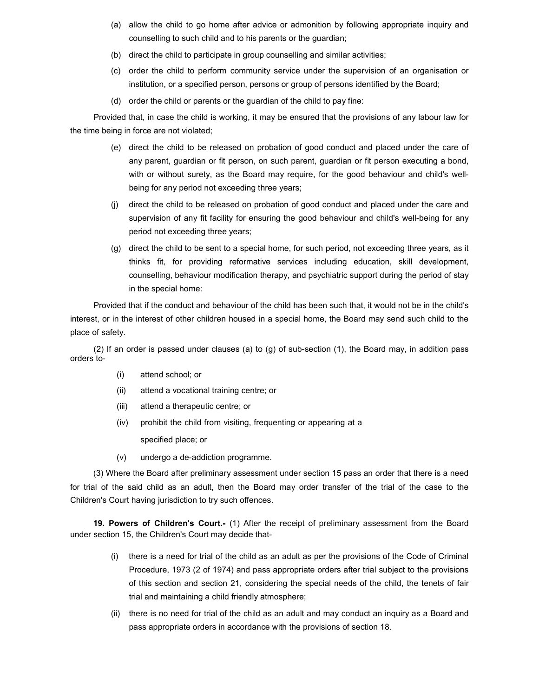- (a) allow the child to go home after advice or admonition by following appropriate inquiry and counselling to such child and to his parents or the guardian;
- (b) direct the child to participate in group counselling and similar activities;
- (c) order the child to perform community service under the supervision of an organisation or institution, or a specified person, persons or group of persons identified by the Board;
- (d) order the child or parents or the guardian of the child to pay fine:

Provided that, in case the child is working, it may be ensured that the provisions of any labour law for the time being in force are not violated;

- (e) direct the child to be released on probation of good conduct and placed under the care of any parent, guardian or fit person, on such parent, guardian or fit person executing a bond, with or without surety, as the Board may require, for the good behaviour and child's wellbeing for any period not exceeding three years;
- (j) direct the child to be released on probation of good conduct and placed under the care and supervision of any fit facility for ensuring the good behaviour and child's well-being for any period not exceeding three years;
- (g) direct the child to be sent to a special home, for such period, not exceeding three years, as it thinks fit, for providing reformative services including education, skill development, counselling, behaviour modification therapy, and psychiatric support during the period of stay in the special home:

Provided that if the conduct and behaviour of the child has been such that, it would not be in the child's interest, or in the interest of other children housed in a special home, the Board may send such child to the place of safety.

(2) If an order is passed under clauses (a) to (g) of sub-section (1), the Board may, in addition pass orders to-

- (i) attend school; or
- (ii) attend a vocational training centre; or
- (iii) attend a therapeutic centre; or
- (iv) prohibit the child from visiting, frequenting or appearing at a

specified place; or

(v) undergo a de-addiction programme.

(3) Where the Board after preliminary assessment under section 15 pass an order that there is a need for trial of the said child as an adult, then the Board may order transfer of the trial of the case to the Children's Court having jurisdiction to try such offences.

19. Powers of Children's Court.- (1) After the receipt of preliminary assessment from the Board under section 15, the Children's Court may decide that-

- (i) there is a need for trial of the child as an adult as per the provisions of the Code of Criminal Procedure, 1973 (2 of 1974) and pass appropriate orders after trial subject to the provisions of this section and section 21, considering the special needs of the child, the tenets of fair trial and maintaining a child friendly atmosphere;
- (ii) there is no need for trial of the child as an adult and may conduct an inquiry as a Board and pass appropriate orders in accordance with the provisions of section 18.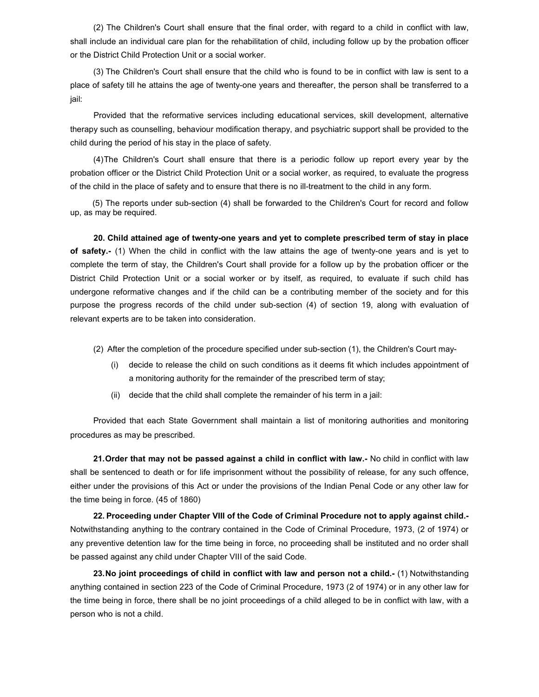(2) The Children's Court shall ensure that the final order, with regard to a child in conflict with law, shall include an individual care plan for the rehabilitation of child, including follow up by the probation officer or the District Child Protection Unit or a social worker.

(3) The Children's Court shall ensure that the child who is found to be in conflict with law is sent to a place of safety till he attains the age of twenty-one years and thereafter, the person shall be transferred to a jail:

Provided that the reformative services including educational services, skill development, alternative therapy such as counselling, behaviour modification therapy, and psychiatric support shall be provided to the child during the period of his stay in the place of safety.

(4) The Children's Court shall ensure that there is a periodic follow up report every year by the probation officer or the District Child Protection Unit or a social worker, as required, to evaluate the progress of the child in the place of safety and to ensure that there is no ill-treatment to the child in any form.

 (5) The reports under sub-section (4) shall be forwarded to the Children's Court for record and follow up, as may be required.

20. Child attained age of twenty-one years and yet to complete prescribed term of stay in place of safety.- (1) When the child in conflict with the law attains the age of twenty-one years and is yet to complete the term of stay, the Children's Court shall provide for a follow up by the probation officer or the District Child Protection Unit or a social worker or by itself, as required, to evaluate if such child has undergone reformative changes and if the child can be a contributing member of the society and for this purpose the progress records of the child under sub-section (4) of section 19, along with evaluation of relevant experts are to be taken into consideration.

(2) After the completion of the procedure specified under sub-section (1), the Children's Court may-

- (i) decide to release the child on such conditions as it deems fit which includes appointment of a monitoring authority for the remainder of the prescribed term of stay;
- (ii) decide that the child shall complete the remainder of his term in a jail:

Provided that each State Government shall maintain a list of monitoring authorities and monitoring procedures as may be prescribed.

21. Order that may not be passed against a child in conflict with law.- No child in conflict with law shall be sentenced to death or for life imprisonment without the possibility of release, for any such offence, either under the provisions of this Act or under the provisions of the Indian Penal Code or any other law for the time being in force. (45 of 1860)

22. Proceeding under Chapter VIII of the Code of Criminal Procedure not to apply against child.- Notwithstanding anything to the contrary contained in the Code of Criminal Procedure, 1973, (2 of 1974) or any preventive detention law for the time being in force, no proceeding shall be instituted and no order shall be passed against any child under Chapter VIII of the said Code.

23. No joint proceedings of child in conflict with law and person not a child.- (1) Notwithstanding anything contained in section 223 of the Code of Criminal Procedure, 1973 (2 of 1974) or in any other law for the time being in force, there shall be no joint proceedings of a child alleged to be in conflict with law, with a person who is not a child.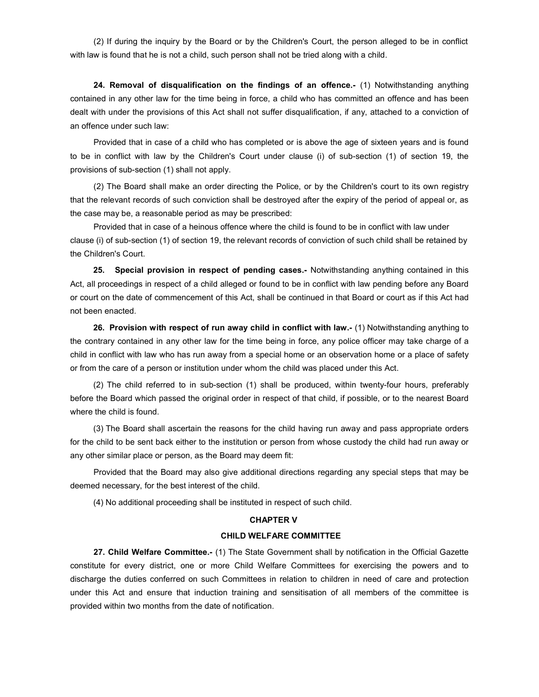(2) If during the inquiry by the Board or by the Children's Court, the person alleged to be in conflict with law is found that he is not a child, such person shall not be tried along with a child.

24. Removal of disqualification on the findings of an offence.- (1) Notwithstanding anything contained in any other law for the time being in force, a child who has committed an offence and has been dealt with under the provisions of this Act shall not suffer disqualification, if any, attached to a conviction of an offence under such law:

Provided that in case of a child who has completed or is above the age of sixteen years and is found to be in conflict with law by the Children's Court under clause (i) of sub-section (1) of section 19, the provisions of sub-section (1) shall not apply.

(2) The Board shall make an order directing the Police, or by the Children's court to its own registry that the relevant records of such conviction shall be destroyed after the expiry of the period of appeal or, as the case may be, a reasonable period as may be prescribed:

Provided that in case of a heinous offence where the child is found to be in conflict with law under clause (i) of sub-section (1) of section 19, the relevant records of conviction of such child shall be retained by the Children's Court.

25. Special provision in respect of pending cases.- Notwithstanding anything contained in this Act, all proceedings in respect of a child alleged or found to be in conflict with law pending before any Board or court on the date of commencement of this Act, shall be continued in that Board or court as if this Act had not been enacted.

26. Provision with respect of run away child in conflict with law.- (1) Notwithstanding anything to the contrary contained in any other law for the time being in force, any police officer may take charge of a child in conflict with law who has run away from a special home or an observation home or a place of safety or from the care of a person or institution under whom the child was placed under this Act.

(2) The child referred to in sub-section (1) shall be produced, within twenty-four hours, preferably before the Board which passed the original order in respect of that child, if possible, or to the nearest Board where the child is found.

(3) The Board shall ascertain the reasons for the child having run away and pass appropriate orders for the child to be sent back either to the institution or person from whose custody the child had run away or any other similar place or person, as the Board may deem fit:

Provided that the Board may also give additional directions regarding any special steps that may be deemed necessary, for the best interest of the child.

(4) No additional proceeding shall be instituted in respect of such child.

### CHAPTER V

#### CHILD WELFARE COMMITTEE

27. Child Welfare Committee.- (1) The State Government shall by notification in the Official Gazette constitute for every district, one or more Child Welfare Committees for exercising the powers and to discharge the duties conferred on such Committees in relation to children in need of care and protection under this Act and ensure that induction training and sensitisation of all members of the committee is provided within two months from the date of notification.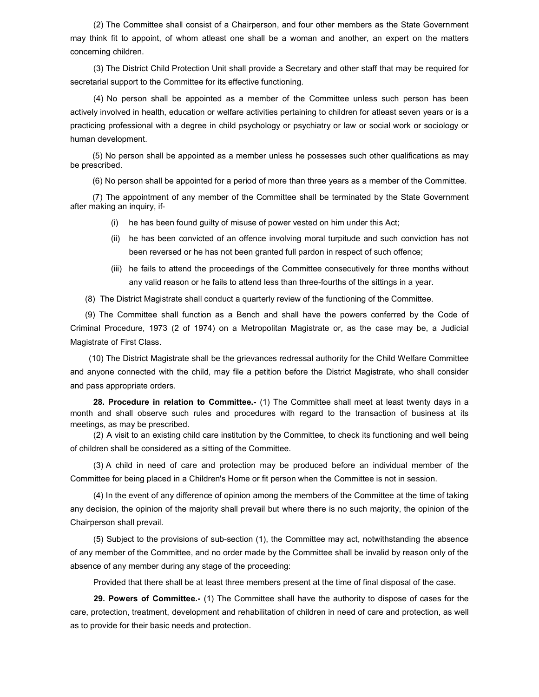(2) The Committee shall consist of a Chairperson, and four other members as the State Government may think fit to appoint, of whom atleast one shall be a woman and another, an expert on the matters concerning children.

(3) The District Child Protection Unit shall provide a Secretary and other staff that may be required for secretarial support to the Committee for its effective functioning.

(4) No person shall be appointed as a member of the Committee unless such person has been actively involved in health, education or welfare activities pertaining to children for atleast seven years or is a practicing professional with a degree in child psychology or psychiatry or law or social work or sociology or human development.

 (5) No person shall be appointed as a member unless he possesses such other qualifications as may be prescribed.

(6) No person shall be appointed for a period of more than three years as a member of the Committee.

 (7) The appointment of any member of the Committee shall be terminated by the State Government after making an inquiry, if-

- (i) he has been found guilty of misuse of power vested on him under this Act;
- (ii) he has been convicted of an offence involving moral turpitude and such conviction has not been reversed or he has not been granted full pardon in respect of such offence;
- (iii) he fails to attend the proceedings of the Committee consecutively for three months without any valid reason or he fails to attend less than three-fourths of the sittings in a year.

(8) The District Magistrate shall conduct a quarterly review of the functioning of the Committee.

(9) The Committee shall function as a Bench and shall have the powers conferred by the Code of Criminal Procedure, 1973 (2 of 1974) on a Metropolitan Magistrate or, as the case may be, a Judicial Magistrate of First Class.

 (10) The District Magistrate shall be the grievances redressal authority for the Child Welfare Committee and anyone connected with the child, may file a petition before the District Magistrate, who shall consider and pass appropriate orders.

28. Procedure in relation to Committee.- (1) The Committee shall meet at least twenty days in a month and shall observe such rules and procedures with regard to the transaction of business at its meetings, as may be prescribed.

(2) A visit to an existing child care institution by the Committee, to check its functioning and well being of children shall be considered as a sitting of the Committee.

(3) A child in need of care and protection may be produced before an individual member of the Committee for being placed in a Children's Home or fit person when the Committee is not in session.

(4) In the event of any difference of opinion among the members of the Committee at the time of taking any decision, the opinion of the majority shall prevail but where there is no such majority, the opinion of the Chairperson shall prevail.

(5) Subject to the provisions of sub-section (1), the Committee may act, notwithstanding the absence of any member of the Committee, and no order made by the Committee shall be invalid by reason only of the absence of any member during any stage of the proceeding:

Provided that there shall be at least three members present at the time of final disposal of the case.

29. Powers of Committee.- (1) The Committee shall have the authority to dispose of cases for the care, protection, treatment, development and rehabilitation of children in need of care and protection, as well as to provide for their basic needs and protection.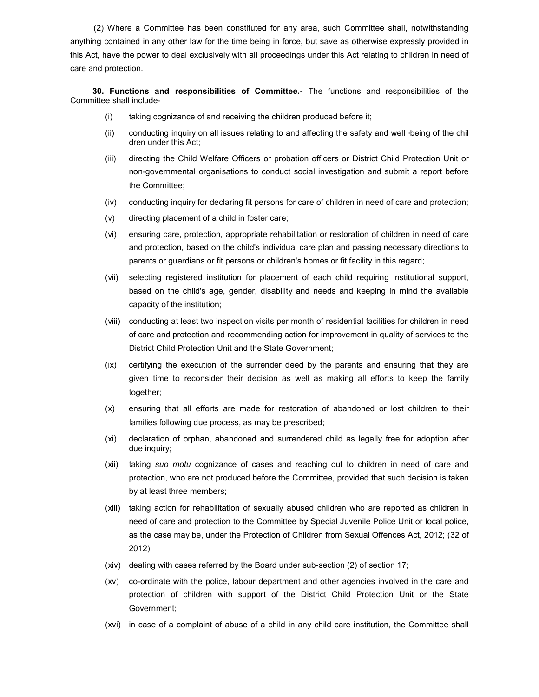(2) Where a Committee has been constituted for any area, such Committee shall, notwithstanding anything contained in any other law for the time being in force, but save as otherwise expressly provided in this Act, have the power to deal exclusively with all proceedings under this Act relating to children in need of care and protection.

 30. Functions and responsibilities of Committee.- The functions and responsibilities of the Committee shall include-

- (i) taking cognizance of and receiving the children produced before it;
- (ii) conducting inquiry on all issues relating to and affecting the safety and well¬being of the chil dren under this Act;
- (iii) directing the Child Welfare Officers or probation officers or District Child Protection Unit or non-governmental organisations to conduct social investigation and submit a report before the Committee;
- (iv) conducting inquiry for declaring fit persons for care of children in need of care and protection;
- (v) directing placement of a child in foster care;
- (vi) ensuring care, protection, appropriate rehabilitation or restoration of children in need of care and protection, based on the child's individual care plan and passing necessary directions to parents or guardians or fit persons or children's homes or fit facility in this regard;
- (vii) selecting registered institution for placement of each child requiring institutional support, based on the child's age, gender, disability and needs and keeping in mind the available capacity of the institution;
- (viii) conducting at least two inspection visits per month of residential facilities for children in need of care and protection and recommending action for improvement in quality of services to the District Child Protection Unit and the State Government;
- (ix) certifying the execution of the surrender deed by the parents and ensuring that they are given time to reconsider their decision as well as making all efforts to keep the family together;
- (x) ensuring that all efforts are made for restoration of abandoned or lost children to their families following due process, as may be prescribed;
- (xi) declaration of orphan, abandoned and surrendered child as legally free for adoption after due inquiry;
- (xii) taking suo motu cognizance of cases and reaching out to children in need of care and protection, who are not produced before the Committee, provided that such decision is taken by at least three members;
- (xiii) taking action for rehabilitation of sexually abused children who are reported as children in need of care and protection to the Committee by Special Juvenile Police Unit or local police, as the case may be, under the Protection of Children from Sexual Offences Act, 2012; (32 of 2012)
- (xiv) dealing with cases referred by the Board under sub-section (2) of section 17;
- (xv) co-ordinate with the police, labour department and other agencies involved in the care and protection of children with support of the District Child Protection Unit or the State Government;
- (xvi) in case of a complaint of abuse of a child in any child care institution, the Committee shall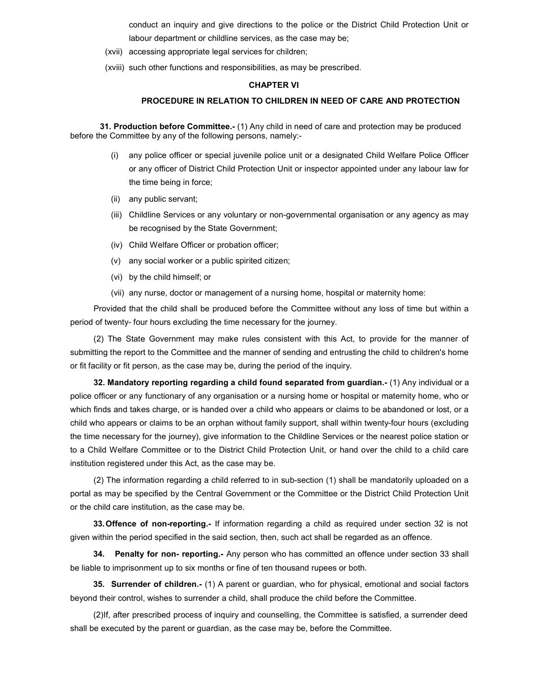conduct an inquiry and give directions to the police or the District Child Protection Unit or labour department or childline services, as the case may be;

- (xvii) accessing appropriate legal services for children;
- (xviii) such other functions and responsibilities, as may be prescribed.

### CHAPTER VI

## PROCEDURE IN RELATION TO CHILDREN IN NEED OF CARE AND PROTECTION

31. Production before Committee.- (1) Any child in need of care and protection may be produced before the Committee by any of the following persons, namely:-

- (i) any police officer or special juvenile police unit or a designated Child Welfare Police Officer or any officer of District Child Protection Unit or inspector appointed under any labour law for the time being in force;
- (ii) any public servant;
- (iii) Childline Services or any voluntary or non-governmental organisation or any agency as may be recognised by the State Government;
- (iv) Child Welfare Officer or probation officer;
- (v) any social worker or a public spirited citizen;
- (vi) by the child himself; or
- (vii) any nurse, doctor or management of a nursing home, hospital or maternity home:

Provided that the child shall be produced before the Committee without any loss of time but within a period of twenty- four hours excluding the time necessary for the journey.

(2) The State Government may make rules consistent with this Act, to provide for the manner of submitting the report to the Committee and the manner of sending and entrusting the child to children's home or fit facility or fit person, as the case may be, during the period of the inquiry.

32. Mandatory reporting regarding a child found separated from guardian.- (1) Any individual or a police officer or any functionary of any organisation or a nursing home or hospital or maternity home, who or which finds and takes charge, or is handed over a child who appears or claims to be abandoned or lost, or a child who appears or claims to be an orphan without family support, shall within twenty-four hours (excluding the time necessary for the journey), give information to the Childline Services or the nearest police station or to a Child Welfare Committee or to the District Child Protection Unit, or hand over the child to a child care institution registered under this Act, as the case may be.

(2) The information regarding a child referred to in sub-section (1) shall be mandatorily uploaded on a portal as may be specified by the Central Government or the Committee or the District Child Protection Unit or the child care institution, as the case may be.

33. Offence of non-reporting.- If information regarding a child as required under section 32 is not given within the period specified in the said section, then, such act shall be regarded as an offence.

**34. Penalty for non- reporting.-** Any person who has committed an offence under section 33 shall be liable to imprisonment up to six months or fine of ten thousand rupees or both.

35. Surrender of children.- (1) A parent or guardian, who for physical, emotional and social factors beyond their control, wishes to surrender a child, shall produce the child before the Committee.

(2) If, after prescribed process of inquiry and counselling, the Committee is satisfied, a surrender deed shall be executed by the parent or guardian, as the case may be, before the Committee.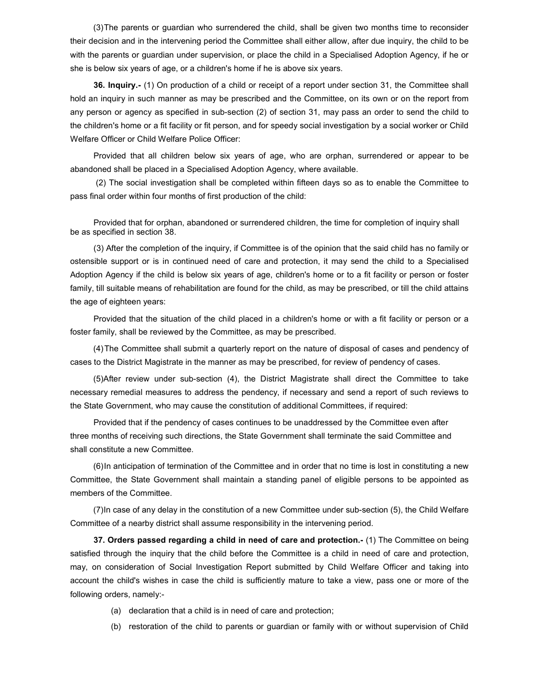(3) The parents or guardian who surrendered the child, shall be given two months time to reconsider their decision and in the intervening period the Committee shall either allow, after due inquiry, the child to be with the parents or guardian under supervision, or place the child in a Specialised Adoption Agency, if he or she is below six years of age, or a children's home if he is above six years.

36. Inquiry.- (1) On production of a child or receipt of a report under section 31, the Committee shall hold an inquiry in such manner as may be prescribed and the Committee, on its own or on the report from any person or agency as specified in sub-section (2) of section 31, may pass an order to send the child to the children's home or a fit facility or fit person, and for speedy social investigation by a social worker or Child Welfare Officer or Child Welfare Police Officer:

Provided that all children below six years of age, who are orphan, surrendered or appear to be abandoned shall be placed in a Specialised Adoption Agency, where available.

 (2) The social investigation shall be completed within fifteen days so as to enable the Committee to pass final order within four months of first production of the child:

Provided that for orphan, abandoned or surrendered children, the time for completion of inquiry shall be as specified in section 38.

(3) After the completion of the inquiry, if Committee is of the opinion that the said child has no family or ostensible support or is in continued need of care and protection, it may send the child to a Specialised Adoption Agency if the child is below six years of age, children's home or to a fit facility or person or foster family, till suitable means of rehabilitation are found for the child, as may be prescribed, or till the child attains the age of eighteen years:

Provided that the situation of the child placed in a children's home or with a fit facility or person or a foster family, shall be reviewed by the Committee, as may be prescribed.

(4) The Committee shall submit a quarterly report on the nature of disposal of cases and pendency of cases to the District Magistrate in the manner as may be prescribed, for review of pendency of cases.

(5) After review under sub-section (4), the District Magistrate shall direct the Committee to take necessary remedial measures to address the pendency, if necessary and send a report of such reviews to the State Government, who may cause the constitution of additional Committees, if required:

Provided that if the pendency of cases continues to be unaddressed by the Committee even after three months of receiving such directions, the State Government shall terminate the said Committee and shall constitute a new Committee.

(6) In anticipation of termination of the Committee and in order that no time is lost in constituting a new Committee, the State Government shall maintain a standing panel of eligible persons to be appointed as members of the Committee.

(7) In case of any delay in the constitution of a new Committee under sub-section (5), the Child Welfare Committee of a nearby district shall assume responsibility in the intervening period.

37. Orders passed regarding a child in need of care and protection.- (1) The Committee on being satisfied through the inquiry that the child before the Committee is a child in need of care and protection, may, on consideration of Social Investigation Report submitted by Child Welfare Officer and taking into account the child's wishes in case the child is sufficiently mature to take a view, pass one or more of the following orders, namely:-

- (a) declaration that a child is in need of care and protection;
- (b) restoration of the child to parents or guardian or family with or without supervision of Child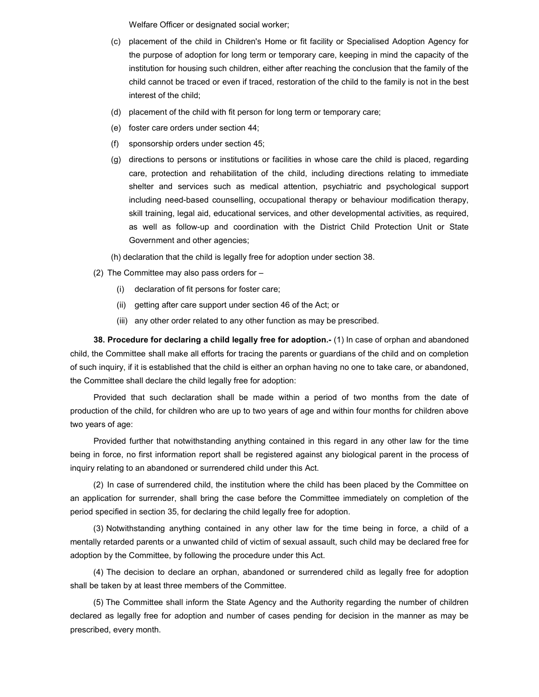Welfare Officer or designated social worker;

- (c) placement of the child in Children's Home or fit facility or Specialised Adoption Agency for the purpose of adoption for long term or temporary care, keeping in mind the capacity of the institution for housing such children, either after reaching the conclusion that the family of the child cannot be traced or even if traced, restoration of the child to the family is not in the best interest of the child;
- (d) placement of the child with fit person for long term or temporary care;
- (e) foster care orders under section 44;
- (f) sponsorship orders under section 45;
- (g) directions to persons or institutions or facilities in whose care the child is placed, regarding care, protection and rehabilitation of the child, including directions relating to immediate shelter and services such as medical attention, psychiatric and psychological support including need-based counselling, occupational therapy or behaviour modification therapy, skill training, legal aid, educational services, and other developmental activities, as required, as well as follow-up and coordination with the District Child Protection Unit or State Government and other agencies;
- (h) declaration that the child is legally free for adoption under section 38.
- (2) The Committee may also pass orders for
	- (i) declaration of fit persons for foster care;
	- (ii) getting after care support under section 46 of the Act; or
	- (iii) any other order related to any other function as may be prescribed.

38. Procedure for declaring a child legally free for adoption.- (1) In case of orphan and abandoned child, the Committee shall make all efforts for tracing the parents or guardians of the child and on completion of such inquiry, if it is established that the child is either an orphan having no one to take care, or abandoned, the Committee shall declare the child legally free for adoption:

Provided that such declaration shall be made within a period of two months from the date of production of the child, for children who are up to two years of age and within four months for children above two years of age:

Provided further that notwithstanding anything contained in this regard in any other law for the time being in force, no first information report shall be registered against any biological parent in the process of inquiry relating to an abandoned or surrendered child under this Act.

(2) In case of surrendered child, the institution where the child has been placed by the Committee on an application for surrender, shall bring the case before the Committee immediately on completion of the period specified in section 35, for declaring the child legally free for adoption.

(3) Notwithstanding anything contained in any other law for the time being in force, a child of a mentally retarded parents or a unwanted child of victim of sexual assault, such child may be declared free for adoption by the Committee, by following the procedure under this Act.

(4) The decision to declare an orphan, abandoned or surrendered child as legally free for adoption shall be taken by at least three members of the Committee.

(5) The Committee shall inform the State Agency and the Authority regarding the number of children declared as legally free for adoption and number of cases pending for decision in the manner as may be prescribed, every month.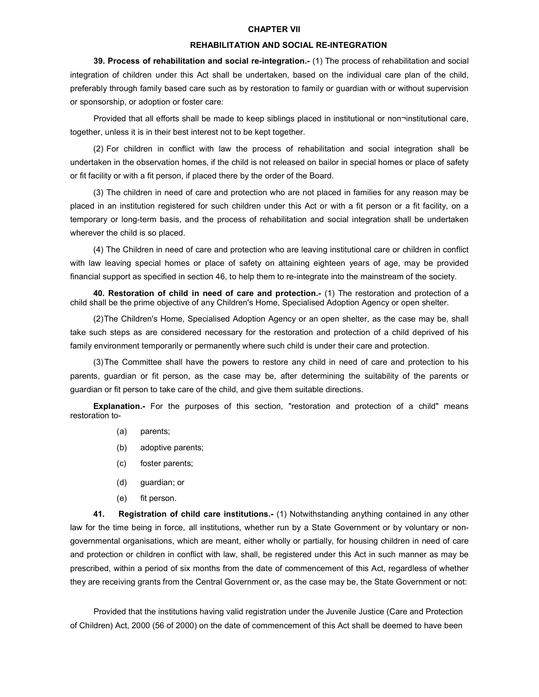#### CHAPTER VII

## REHABILITATION AND SOCIAL RE-INTEGRATION

39. Process of rehabilitation and social re-integration.- (1) The process of rehabilitation and social integration of children under this Act shall be undertaken, based on the individual care plan of the child, preferably through family based care such as by restoration to family or guardian with or without supervision or sponsorship, or adoption or foster care:

Provided that all efforts shall be made to keep siblings placed in institutional or non¬institutional care, together, unless it is in their best interest not to be kept together.

(2) For children in conflict with law the process of rehabilitation and social integration shall be undertaken in the observation homes, if the child is not released on bailor in special homes or place of safety or fit facility or with a fit person, if placed there by the order of the Board.

(3) The children in need of care and protection who are not placed in families for any reason may be placed in an institution registered for such children under this Act or with a fit person or a fit facility, on a temporary or long-term basis, and the process of rehabilitation and social integration shall be undertaken wherever the child is so placed.

(4) The Children in need of care and protection who are leaving institutional care or children in conflict with law leaving special homes or place of safety on attaining eighteen years of age, may be provided financial support as specified in section 46, to help them to re-integrate into the mainstream of the society.

40. Restoration of child in need of care and protection.- (1) The restoration and protection of a child shall be the prime objective of any Children's Home, Specialised Adoption Agency or open shelter.

(2) The Children's Home, Specialised Adoption Agency or an open shelter, as the case may be, shall take such steps as are considered necessary for the restoration and protection of a child deprived of his family environment temporarily or permanently where such child is under their care and protection.

(3) The Committee shall have the powers to restore any child in need of care and protection to his parents, guardian or fit person, as the case may be, after determining the suitability of the parents or guardian or fit person to take care of the child, and give them suitable directions.

Explanation.- For the purposes of this section, "restoration and protection of a child" means restoration to-

- (a) parents;
- (b) adoptive parents;
- (c) foster parents;
- (d) guardian; or
- (e) fit person.

41. Registration of child care institutions.- (1) Notwithstanding anything contained in any other law for the time being in force, all institutions, whether run by a State Government or by voluntary or nongovernmental organisations, which are meant, either wholly or partially, for housing children in need of care and protection or children in conflict with law, shall, be registered under this Act in such manner as may be prescribed, within a period of six months from the date of commencement of this Act, regardless of whether they are receiving grants from the Central Government or, as the case may be, the State Government or not:

Provided that the institutions having valid registration under the Juvenile Justice (Care and Protection of Children) Act, 2000 (56 of 2000) on the date of commencement of this Act shall be deemed to have been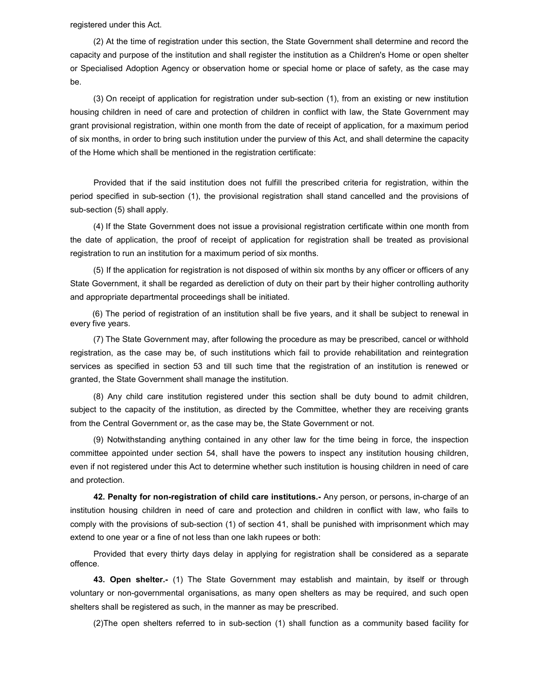registered under this Act.

(2) At the time of registration under this section, the State Government shall determine and record the capacity and purpose of the institution and shall register the institution as a Children's Home or open shelter or Specialised Adoption Agency or observation home or special home or place of safety, as the case may be.

(3) On receipt of application for registration under sub-section (1), from an existing or new institution housing children in need of care and protection of children in conflict with law, the State Government may grant provisional registration, within one month from the date of receipt of application, for a maximum period of six months, in order to bring such institution under the purview of this Act, and shall determine the capacity of the Home which shall be mentioned in the registration certificate:

Provided that if the said institution does not fulfill the prescribed criteria for registration, within the period specified in sub-section (1), the provisional registration shall stand cancelled and the provisions of sub-section (5) shall apply.

(4) If the State Government does not issue a provisional registration certificate within one month from the date of application, the proof of receipt of application for registration shall be treated as provisional registration to run an institution for a maximum period of six months.

(5) If the application for registration is not disposed of within six months by any officer or officers of any State Government, it shall be regarded as dereliction of duty on their part by their higher controlling authority and appropriate departmental proceedings shall be initiated.

 (6) The period of registration of an institution shall be five years, and it shall be subject to renewal in every five years.

(7) The State Government may, after following the procedure as may be prescribed, cancel or withhold registration, as the case may be, of such institutions which fail to provide rehabilitation and reintegration services as specified in section 53 and till such time that the registration of an institution is renewed or granted, the State Government shall manage the institution.

(8) Any child care institution registered under this section shall be duty bound to admit children, subject to the capacity of the institution, as directed by the Committee, whether they are receiving grants from the Central Government or, as the case may be, the State Government or not.

(9) Notwithstanding anything contained in any other law for the time being in force, the inspection committee appointed under section 54, shall have the powers to inspect any institution housing children, even if not registered under this Act to determine whether such institution is housing children in need of care and protection.

42. Penalty for non-registration of child care institutions.- Any person, or persons, in-charge of an institution housing children in need of care and protection and children in conflict with law, who fails to comply with the provisions of sub-section (1) of section 41, shall be punished with imprisonment which may extend to one year or a fine of not less than one lakh rupees or both:

Provided that every thirty days delay in applying for registration shall be considered as a separate offence.

43. Open shelter.- (1) The State Government may establish and maintain, by itself or through voluntary or non-governmental organisations, as many open shelters as may be required, and such open shelters shall be registered as such, in the manner as may be prescribed.

(2) The open shelters referred to in sub-section (1) shall function as a community based facility for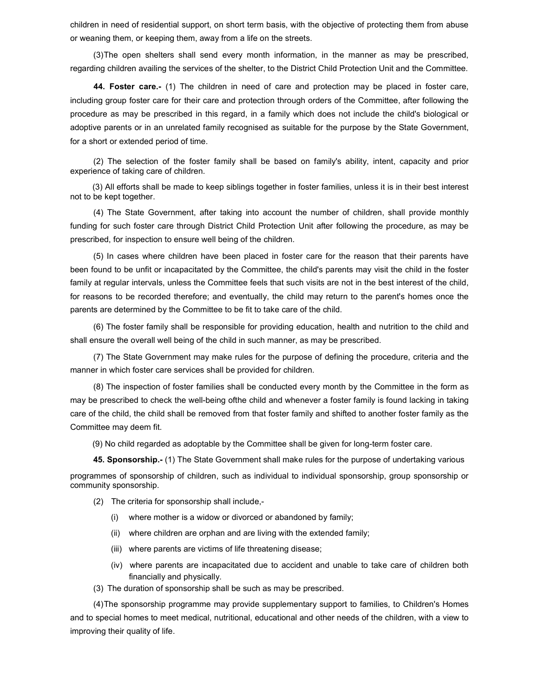children in need of residential support, on short term basis, with the objective of protecting them from abuse or weaning them, or keeping them, away from a life on the streets.

(3) The open shelters shall send every month information, in the manner as may be prescribed, regarding children availing the services of the shelter, to the District Child Protection Unit and the Committee.

44. Foster care.- (1) The children in need of care and protection may be placed in foster care, including group foster care for their care and protection through orders of the Committee, after following the procedure as may be prescribed in this regard, in a family which does not include the child's biological or adoptive parents or in an unrelated family recognised as suitable for the purpose by the State Government, for a short or extended period of time.

(2) The selection of the foster family shall be based on family's ability, intent, capacity and prior experience of taking care of children.

 (3) All efforts shall be made to keep siblings together in foster families, unless it is in their best interest not to be kept together.

(4) The State Government, after taking into account the number of children, shall provide monthly funding for such foster care through District Child Protection Unit after following the procedure, as may be prescribed, for inspection to ensure well being of the children.

(5) In cases where children have been placed in foster care for the reason that their parents have been found to be unfit or incapacitated by the Committee, the child's parents may visit the child in the foster family at regular intervals, unless the Committee feels that such visits are not in the best interest of the child, for reasons to be recorded therefore; and eventually, the child may return to the parent's homes once the parents are determined by the Committee to be fit to take care of the child.

(6) The foster family shall be responsible for providing education, health and nutrition to the child and shall ensure the overall well being of the child in such manner, as may be prescribed.

(7) The State Government may make rules for the purpose of defining the procedure, criteria and the manner in which foster care services shall be provided for children.

(8) The inspection of foster families shall be conducted every month by the Committee in the form as may be prescribed to check the well-being ofthe child and whenever a foster family is found lacking in taking care of the child, the child shall be removed from that foster family and shifted to another foster family as the Committee may deem fit.

(9) No child regarded as adoptable by the Committee shall be given for long-term foster care.

45. Sponsorship.- (1) The State Government shall make rules for the purpose of undertaking various

programmes of sponsorship of children, such as individual to individual sponsorship, group sponsorship or community sponsorship.

- (2) The criteria for sponsorship shall include,-
	- (i) where mother is a widow or divorced or abandoned by family;
	- (ii) where children are orphan and are living with the extended family;
	- (iii) where parents are victims of life threatening disease;
	- (iv) where parents are incapacitated due to accident and unable to take care of children both financially and physically.
- (3) The duration of sponsorship shall be such as may be prescribed.

(4) The sponsorship programme may provide supplementary support to families, to Children's Homes and to special homes to meet medical, nutritional, educational and other needs of the children, with a view to improving their quality of life.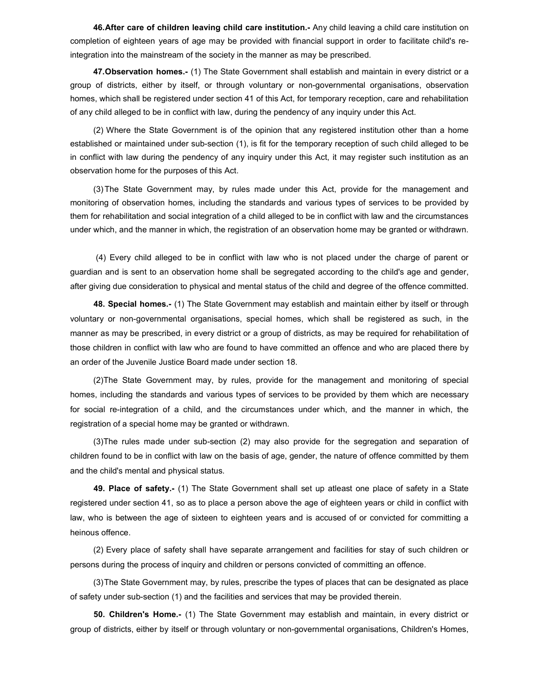46. After care of children leaving child care institution.- Any child leaving a child care institution on completion of eighteen years of age may be provided with financial support in order to facilitate child's reintegration into the mainstream of the society in the manner as may be prescribed.

47. Observation homes.- (1) The State Government shall establish and maintain in every district or a group of districts, either by itself, or through voluntary or non-governmental organisations, observation homes, which shall be registered under section 41 of this Act, for temporary reception, care and rehabilitation of any child alleged to be in conflict with law, during the pendency of any inquiry under this Act.

(2) Where the State Government is of the opinion that any registered institution other than a home established or maintained under sub-section (1), is fit for the temporary reception of such child alleged to be in conflict with law during the pendency of any inquiry under this Act, it may register such institution as an observation home for the purposes of this Act.

(3) The State Government may, by rules made under this Act, provide for the management and monitoring of observation homes, including the standards and various types of services to be provided by them for rehabilitation and social integration of a child alleged to be in conflict with law and the circumstances under which, and the manner in which, the registration of an observation home may be granted or withdrawn.

 (4) Every child alleged to be in conflict with law who is not placed under the charge of parent or guardian and is sent to an observation home shall be segregated according to the child's age and gender, after giving due consideration to physical and mental status of the child and degree of the offence committed.

48. Special homes.- (1) The State Government may establish and maintain either by itself or through voluntary or non-governmental organisations, special homes, which shall be registered as such, in the manner as may be prescribed, in every district or a group of districts, as may be required for rehabilitation of those children in conflict with law who are found to have committed an offence and who are placed there by an order of the Juvenile Justice Board made under section 18.

(2) The State Government may, by rules, provide for the management and monitoring of special homes, including the standards and various types of services to be provided by them which are necessary for social re-integration of a child, and the circumstances under which, and the manner in which, the registration of a special home may be granted or withdrawn.

(3) The rules made under sub-section (2) may also provide for the segregation and separation of children found to be in conflict with law on the basis of age, gender, the nature of offence committed by them and the child's mental and physical status.

49. Place of safety.- (1) The State Government shall set up atleast one place of safety in a State registered under section 41, so as to place a person above the age of eighteen years or child in conflict with law, who is between the age of sixteen to eighteen years and is accused of or convicted for committing a heinous offence.

(2) Every place of safety shall have separate arrangement and facilities for stay of such children or persons during the process of inquiry and children or persons convicted of committing an offence.

(3) The State Government may, by rules, prescribe the types of places that can be designated as place of safety under sub-section (1) and the facilities and services that may be provided therein.

50. Children's Home.- (1) The State Government may establish and maintain, in every district or group of districts, either by itself or through voluntary or non-governmental organisations, Children's Homes,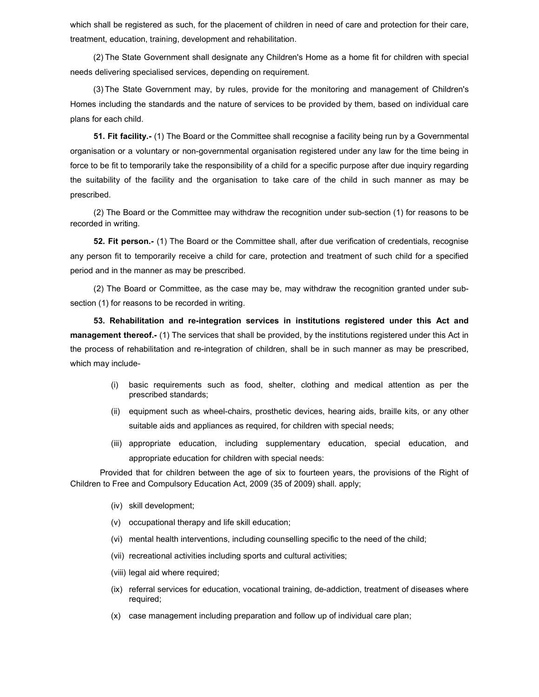which shall be registered as such, for the placement of children in need of care and protection for their care, treatment, education, training, development and rehabilitation.

(2) The State Government shall designate any Children's Home as a home fit for children with special needs delivering specialised services, depending on requirement.

(3) The State Government may, by rules, provide for the monitoring and management of Children's Homes including the standards and the nature of services to be provided by them, based on individual care plans for each child.

51. Fit facility.- (1) The Board or the Committee shall recognise a facility being run by a Governmental organisation or a voluntary or non-governmental organisation registered under any law for the time being in force to be fit to temporarily take the responsibility of a child for a specific purpose after due inquiry regarding the suitability of the facility and the organisation to take care of the child in such manner as may be prescribed.

(2) The Board or the Committee may withdraw the recognition under sub-section (1) for reasons to be recorded in writing.

52. Fit person.- (1) The Board or the Committee shall, after due verification of credentials, recognise any person fit to temporarily receive a child for care, protection and treatment of such child for a specified period and in the manner as may be prescribed.

(2) The Board or Committee, as the case may be, may withdraw the recognition granted under subsection (1) for reasons to be recorded in writing.

53. Rehabilitation and re-integration services in institutions registered under this Act and management thereof.- (1) The services that shall be provided, by the institutions registered under this Act in the process of rehabilitation and re-integration of children, shall be in such manner as may be prescribed, which may include-

- (i) basic requirements such as food, shelter, clothing and medical attention as per the prescribed standards;
- (ii) equipment such as wheel-chairs, prosthetic devices, hearing aids, braille kits, or any other suitable aids and appliances as required, for children with special needs;
- (iii) appropriate education, including supplementary education, special education, and appropriate education for children with special needs:

Provided that for children between the age of six to fourteen years, the provisions of the Right of Children to Free and Compulsory Education Act, 2009 (35 of 2009) shall. apply;

- (iv) skill development;
- (v) occupational therapy and life skill education;
- (vi) mental health interventions, including counselling specific to the need of the child;
- (vii) recreational activities including sports and cultural activities;
- (viii) legal aid where required;
- (ix) referral services for education, vocational training, de-addiction, treatment of diseases where required;
- (x) case management including preparation and follow up of individual care plan;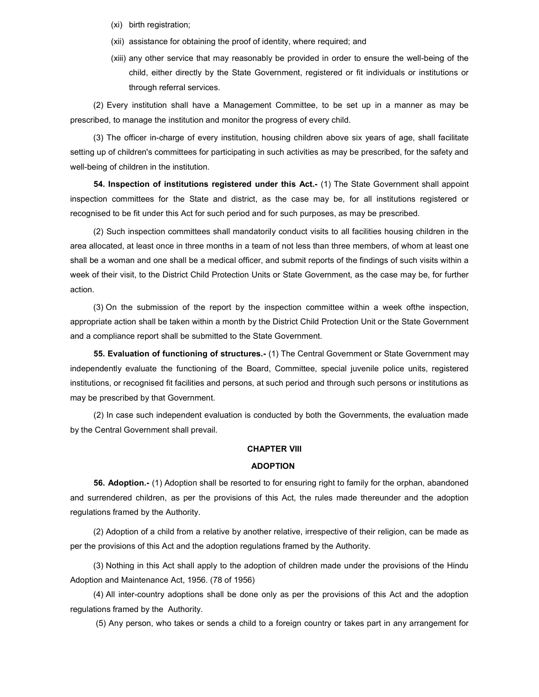- (xi) birth registration;
- (xii) assistance for obtaining the proof of identity, where required; and
- (xiii) any other service that may reasonably be provided in order to ensure the well-being of the child, either directly by the State Government, registered or fit individuals or institutions or through referral services.

(2) Every institution shall have a Management Committee, to be set up in a manner as may be prescribed, to manage the institution and monitor the progress of every child.

(3) The officer in-charge of every institution, housing children above six years of age, shall facilitate setting up of children's committees for participating in such activities as may be prescribed, for the safety and well-being of children in the institution.

54. Inspection of institutions registered under this Act.- (1) The State Government shall appoint inspection committees for the State and district, as the case may be, for all institutions registered or recognised to be fit under this Act for such period and for such purposes, as may be prescribed.

(2) Such inspection committees shall mandatorily conduct visits to all facilities housing children in the area allocated, at least once in three months in a team of not less than three members, of whom at least one shall be a woman and one shall be a medical officer, and submit reports of the findings of such visits within a week of their visit, to the District Child Protection Units or State Government, as the case may be, for further action.

(3) On the submission of the report by the inspection committee within a week ofthe inspection, appropriate action shall be taken within a month by the District Child Protection Unit or the State Government and a compliance report shall be submitted to the State Government.

55. Evaluation of functioning of structures.- (1) The Central Government or State Government may independently evaluate the functioning of the Board, Committee, special juvenile police units, registered institutions, or recognised fit facilities and persons, at such period and through such persons or institutions as may be prescribed by that Government.

(2) In case such independent evaluation is conducted by both the Governments, the evaluation made by the Central Government shall prevail.

### CHAPTER VIII

#### ADOPTION

56. Adoption.- (1) Adoption shall be resorted to for ensuring right to family for the orphan, abandoned and surrendered children, as per the provisions of this Act, the rules made thereunder and the adoption regulations framed by the Authority.

(2) Adoption of a child from a relative by another relative, irrespective of their religion, can be made as per the provisions of this Act and the adoption regulations framed by the Authority.

(3) Nothing in this Act shall apply to the adoption of children made under the provisions of the Hindu Adoption and Maintenance Act, 1956. (78 of 1956)

(4) All inter-country adoptions shall be done only as per the provisions of this Act and the adoption regulations framed by the Authority.

(5) Any person, who takes or sends a child to a foreign country or takes part in any arrangement for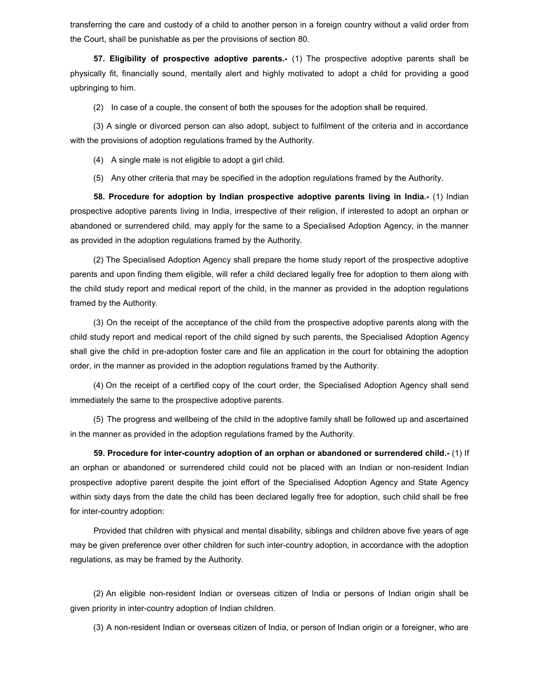transferring the care and custody of a child to another person in a foreign country without a valid order from the Court, shall be punishable as per the provisions of section 80.

57. Eligibility of prospective adoptive parents.- (1) The prospective adoptive parents shall be physically fit, financially sound, mentally alert and highly motivated to adopt a child for providing a good upbringing to him.

(2) In case of a couple, the consent of both the spouses for the adoption shall be required.

(3) A single or divorced person can also adopt, subject to fulfilment of the criteria and in accordance with the provisions of adoption regulations framed by the Authority.

(4) A single male is not eligible to adopt a girl child.

(5) Any other criteria that may be specified in the adoption regulations framed by the Authority.

58. Procedure for adoption by Indian prospective adoptive parents living in India.- (1) Indian prospective adoptive parents living in India, irrespective of their religion, if interested to adopt an orphan or abandoned or surrendered child, may apply for the same to a Specialised Adoption Agency, in the manner as provided in the adoption regulations framed by the Authority.

(2) The Specialised Adoption Agency shall prepare the home study report of the prospective adoptive parents and upon finding them eligible, will refer a child declared legally free for adoption to them along with the child study report and medical report of the child, in the manner as provided in the adoption regulations framed by the Authority.

(3) On the receipt of the acceptance of the child from the prospective adoptive parents along with the child study report and medical report of the child signed by such parents, the Specialised Adoption Agency shall give the child in pre-adoption foster care and file an application in the court for obtaining the adoption order, in the manner as provided in the adoption regulations framed by the Authority.

(4) On the receipt of a certified copy of the court order, the Specialised Adoption Agency shall send immediately the same to the prospective adoptive parents.

(5) The progress and wellbeing of the child in the adoptive family shall be followed up and ascertained in the manner as provided in the adoption regulations framed by the Authority.

59. Procedure for inter-country adoption of an orphan or abandoned or surrendered child.- (1) If an orphan or abandoned or surrendered child could not be placed with an Indian or non-resident Indian prospective adoptive parent despite the joint effort of the Specialised Adoption Agency and State Agency within sixty days from the date the child has been declared legally free for adoption, such child shall be free for inter-country adoption:

Provided that children with physical and mental disability, siblings and children above five years of age may be given preference over other children for such inter-country adoption, in accordance with the adoption regulations, as may be framed by the Authority.

(2) An eligible non-resident Indian or overseas citizen of India or persons of Indian origin shall be given priority in inter-country adoption of Indian children.

(3) A non-resident Indian or overseas citizen of India, or person of Indian origin or a foreigner, who are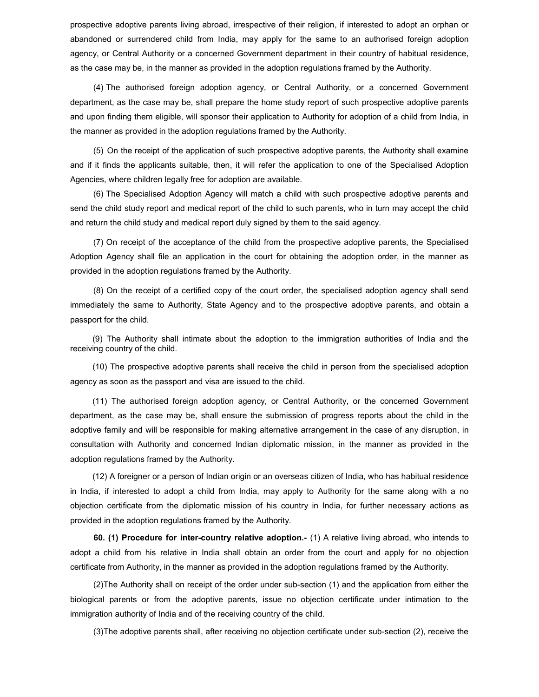prospective adoptive parents living abroad, irrespective of their religion, if interested to adopt an orphan or abandoned or surrendered child from India, may apply for the same to an authorised foreign adoption agency, or Central Authority or a concerned Government department in their country of habitual residence, as the case may be, in the manner as provided in the adoption regulations framed by the Authority.

(4) The authorised foreign adoption agency, or Central Authority, or a concerned Government department, as the case may be, shall prepare the home study report of such prospective adoptive parents and upon finding them eligible, will sponsor their application to Authority for adoption of a child from India, in the manner as provided in the adoption regulations framed by the Authority.

(5) On the receipt of the application of such prospective adoptive parents, the Authority shall examine and if it finds the applicants suitable, then, it will refer the application to one of the Specialised Adoption Agencies, where children legally free for adoption are available.

(6) The Specialised Adoption Agency will match a child with such prospective adoptive parents and send the child study report and medical report of the child to such parents, who in turn may accept the child and return the child study and medical report duly signed by them to the said agency.

(7) On receipt of the acceptance of the child from the prospective adoptive parents, the Specialised Adoption Agency shall file an application in the court for obtaining the adoption order, in the manner as provided in the adoption regulations framed by the Authority.

(8) On the receipt of a certified copy of the court order, the specialised adoption agency shall send immediately the same to Authority, State Agency and to the prospective adoptive parents, and obtain a passport for the child.

 (9) The Authority shall intimate about the adoption to the immigration authorities of India and the receiving country of the child.

 (10) The prospective adoptive parents shall receive the child in person from the specialised adoption agency as soon as the passport and visa are issued to the child.

 (11) The authorised foreign adoption agency, or Central Authority, or the concerned Government department, as the case may be, shall ensure the submission of progress reports about the child in the adoptive family and will be responsible for making alternative arrangement in the case of any disruption, in consultation with Authority and concerned Indian diplomatic mission, in the manner as provided in the adoption regulations framed by the Authority.

 (12) A foreigner or a person of Indian origin or an overseas citizen of India, who has habitual residence in India, if interested to adopt a child from India, may apply to Authority for the same along with a no objection certificate from the diplomatic mission of his country in India, for further necessary actions as provided in the adoption regulations framed by the Authority.

60. (1) Procedure for inter-country relative adoption.- (1) A relative living abroad, who intends to adopt a child from his relative in India shall obtain an order from the court and apply for no objection certificate from Authority, in the manner as provided in the adoption regulations framed by the Authority.

(2) The Authority shall on receipt of the order under sub-section (1) and the application from either the biological parents or from the adoptive parents, issue no objection certificate under intimation to the immigration authority of India and of the receiving country of the child.

(3) The adoptive parents shall, after receiving no objection certificate under sub-section (2), receive the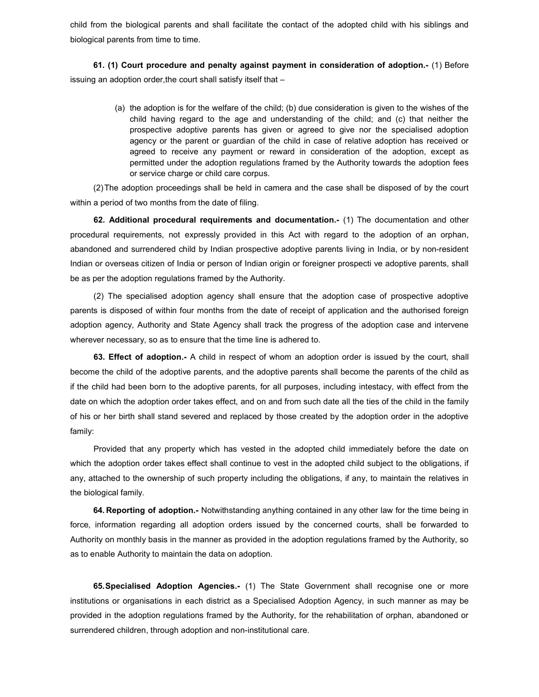child from the biological parents and shall facilitate the contact of the adopted child with his siblings and biological parents from time to time.

61. (1) Court procedure and penalty against payment in consideration of adoption.- (1) Before issuing an adoption order, the court shall satisfy itself that –

> (a) the adoption is for the welfare of the child; (b) due consideration is given to the wishes of the child having regard to the age and understanding of the child; and (c) that neither the prospective adoptive parents has given or agreed to give nor the specialised adoption agency or the parent or guardian of the child in case of relative adoption has received or agreed to receive any payment or reward in consideration of the adoption, except as permitted under the adoption regulations framed by the Authority towards the adoption fees or service charge or child care corpus.

(2) The adoption proceedings shall be held in camera and the case shall be disposed of by the court within a period of two months from the date of filing.

62. Additional procedural requirements and documentation.- (1) The documentation and other procedural requirements, not expressly provided in this Act with regard to the adoption of an orphan, abandoned and surrendered child by Indian prospective adoptive parents living in India, or by non-resident Indian or overseas citizen of India or person of Indian origin or foreigner prospecti ve adoptive parents, shall be as per the adoption regulations framed by the Authority.

(2) The specialised adoption agency shall ensure that the adoption case of prospective adoptive parents is disposed of within four months from the date of receipt of application and the authorised foreign adoption agency, Authority and State Agency shall track the progress of the adoption case and intervene wherever necessary, so as to ensure that the time line is adhered to.

63. Effect of adoption.- A child in respect of whom an adoption order is issued by the court, shall become the child of the adoptive parents, and the adoptive parents shall become the parents of the child as if the child had been born to the adoptive parents, for all purposes, including intestacy, with effect from the date on which the adoption order takes effect, and on and from such date all the ties of the child in the family of his or her birth shall stand severed and replaced by those created by the adoption order in the adoptive family:

Provided that any property which has vested in the adopted child immediately before the date on which the adoption order takes effect shall continue to vest in the adopted child subject to the obligations, if any, attached to the ownership of such property including the obligations, if any, to maintain the relatives in the biological family.

64. Reporting of adoption.- Notwithstanding anything contained in any other law for the time being in force, information regarding all adoption orders issued by the concerned courts, shall be forwarded to Authority on monthly basis in the manner as provided in the adoption regulations framed by the Authority, so as to enable Authority to maintain the data on adoption.

**65. Specialised Adoption Agencies.-** (1) The State Government shall recognise one or more institutions or organisations in each district as a Specialised Adoption Agency, in such manner as may be provided in the adoption regulations framed by the Authority, for the rehabilitation of orphan, abandoned or surrendered children, through adoption and non-institutional care.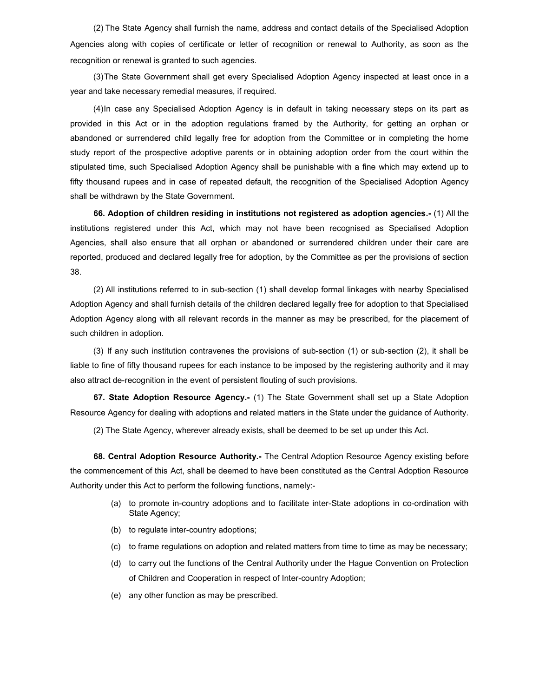(2) The State Agency shall furnish the name, address and contact details of the Specialised Adoption Agencies along with copies of certificate or letter of recognition or renewal to Authority, as soon as the recognition or renewal is granted to such agencies.

(3) The State Government shall get every Specialised Adoption Agency inspected at least once in a year and take necessary remedial measures, if required.

(4) In case any Specialised Adoption Agency is in default in taking necessary steps on its part as provided in this Act or in the adoption regulations framed by the Authority, for getting an orphan or abandoned or surrendered child legally free for adoption from the Committee or in completing the home study report of the prospective adoptive parents or in obtaining adoption order from the court within the stipulated time, such Specialised Adoption Agency shall be punishable with a fine which may extend up to fifty thousand rupees and in case of repeated default, the recognition of the Specialised Adoption Agency shall be withdrawn by the State Government.

66. Adoption of children residing in institutions not registered as adoption agencies.- (1) All the institutions registered under this Act, which may not have been recognised as Specialised Adoption Agencies, shall also ensure that all orphan or abandoned or surrendered children under their care are reported, produced and declared legally free for adoption, by the Committee as per the provisions of section 38.

(2) All institutions referred to in sub-section (1) shall develop formal linkages with nearby Specialised Adoption Agency and shall furnish details of the children declared legally free for adoption to that Specialised Adoption Agency along with all relevant records in the manner as may be prescribed, for the placement of such children in adoption.

(3) If any such institution contravenes the provisions of sub-section (1) or sub-section (2), it shall be liable to fine of fifty thousand rupees for each instance to be imposed by the registering authority and it may also attract de-recognition in the event of persistent flouting of such provisions.

67. State Adoption Resource Agency.- (1) The State Government shall set up a State Adoption Resource Agency for dealing with adoptions and related matters in the State under the guidance of Authority.

(2) The State Agency, wherever already exists, shall be deemed to be set up under this Act.

68. Central Adoption Resource Authority.- The Central Adoption Resource Agency existing before the commencement of this Act, shall be deemed to have been constituted as the Central Adoption Resource Authority under this Act to perform the following functions, namely:-

- (a) to promote in-country adoptions and to facilitate inter-State adoptions in co-ordination with State Agency;
- (b) to regulate inter-country adoptions;
- (c) to frame regulations on adoption and related matters from time to time as may be necessary;
- (d) to carry out the functions of the Central Authority under the Hague Convention on Protection of Children and Cooperation in respect of Inter-country Adoption;
- (e) any other function as may be prescribed.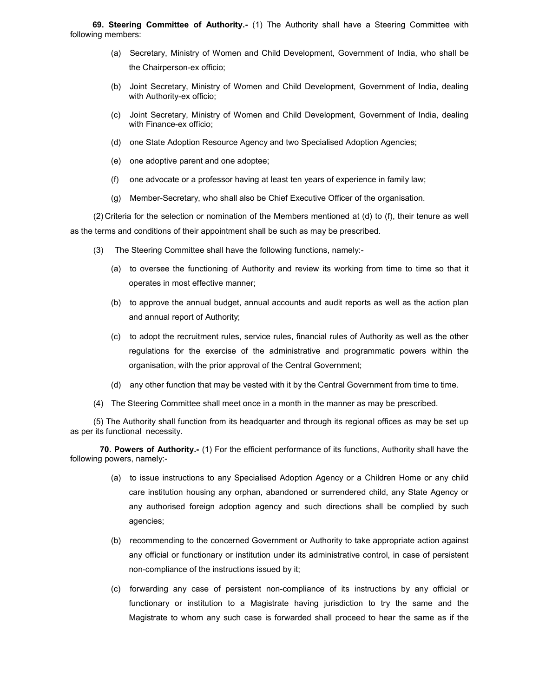69. Steering Committee of Authority.- (1) The Authority shall have a Steering Committee with following members:

- (a) Secretary, Ministry of Women and Child Development, Government of India, who shall be the Chairperson-ex officio;
- (b) Joint Secretary, Ministry of Women and Child Development, Government of India, dealing with Authority-ex officio;
- (c) Joint Secretary, Ministry of Women and Child Development, Government of India, dealing with Finance-ex officio;
- (d) one State Adoption Resource Agency and two Specialised Adoption Agencies;
- (e) one adoptive parent and one adoptee;
- (f) one advocate or a professor having at least ten years of experience in family law;
- (g) Member-Secretary, who shall also be Chief Executive Officer of the organisation.

(2) Criteria for the selection or nomination of the Members mentioned at (d) to (f), their tenure as well as the terms and conditions of their appointment shall be such as may be prescribed.

- (3) The Steering Committee shall have the following functions, namely:-
	- (a) to oversee the functioning of Authority and review its working from time to time so that it operates in most effective manner;
	- (b) to approve the annual budget, annual accounts and audit reports as well as the action plan and annual report of Authority;
	- (c) to adopt the recruitment rules, service rules, financial rules of Authority as well as the other regulations for the exercise of the administrative and programmatic powers within the organisation, with the prior approval of the Central Government;
	- (d) any other function that may be vested with it by the Central Government from time to time.
- (4) The Steering Committee shall meet once in a month in the manner as may be prescribed.

(5) The Authority shall function from its headquarter and through its regional offices as may be set up as per its functional necessity.

 70. Powers of Authority.- (1) For the efficient performance of its functions, Authority shall have the following powers, namely:-

- (a) to issue instructions to any Specialised Adoption Agency or a Children Home or any child care institution housing any orphan, abandoned or surrendered child, any State Agency or any authorised foreign adoption agency and such directions shall be complied by such agencies;
- (b) recommending to the concerned Government or Authority to take appropriate action against any official or functionary or institution under its administrative control, in case of persistent non-compliance of the instructions issued by it;
- (c) forwarding any case of persistent non-compliance of its instructions by any official or functionary or institution to a Magistrate having jurisdiction to try the same and the Magistrate to whom any such case is forwarded shall proceed to hear the same as if the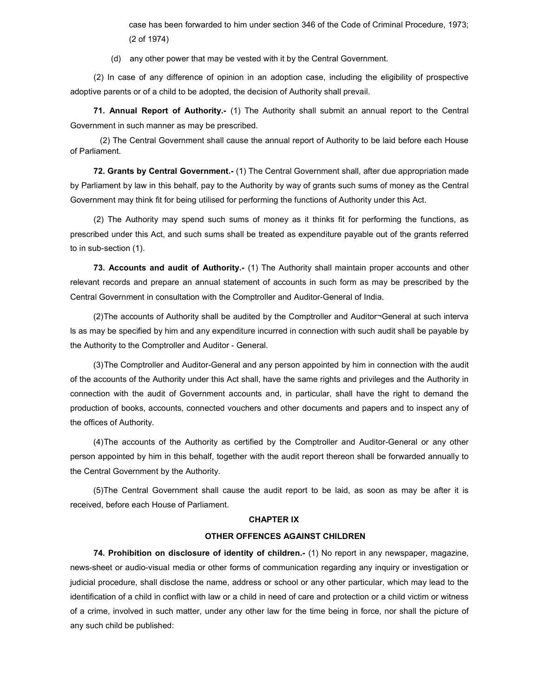case has been forwarded to him under section 346 of the Code of Criminal Procedure, 1973; (2 of 1974)

(d) any other power that may be vested with it by the Central Government.

(2) In case of any difference of opinion in an adoption case, including the eligibility of prospective adoptive parents or of a child to be adopted, the decision of Authority shall prevail.

71. Annual Report of Authority.- (1) The Authority shall submit an annual report to the Central Government in such manner as may be prescribed.

 (2) The Central Government shall cause the annual report of Authority to be laid before each House of Parliament.

72. Grants by Central Government.- (1) The Central Government shall, after due appropriation made by Parliament by law in this behalf, pay to the Authority by way of grants such sums of money as the Central Government may think fit for being utilised for performing the functions of Authority under this Act.

(2) The Authority may spend such sums of money as it thinks fit for performing the functions, as prescribed under this Act, and such sums shall be treated as expenditure payable out of the grants referred to in sub-section (1).

73. Accounts and audit of Authority.- (1) The Authority shall maintain proper accounts and other relevant records and prepare an annual statement of accounts in such form as may be prescribed by the Central Government in consultation with the Comptroller and Auditor-General of India.

(2) The accounts of Authority shall be audited by the Comptroller and Auditor¬General at such interva ls as may be specified by him and any expenditure incurred in connection with such audit shall be payable by the Authority to the Comptroller and Auditor - General.

(3) The Comptroller and Auditor-General and any person appointed by him in connection with the audit of the accounts of the Authority under this Act shall, have the same rights and privileges and the Authority in connection with the audit of Government accounts and, in particular, shall have the right to demand the production of books, accounts, connected vouchers and other documents and papers and to inspect any of the offices of Authority.

(4) The accounts of the Authority as certified by the Comptroller and Auditor-General or any other person appointed by him in this behalf, together with the audit report thereon shall be forwarded annually to the Central Government by the Authority.

(5) The Central Government shall cause the audit report to be laid, as soon as may be after it is received, before each House of Parliament.

#### CHAPTER IX

### OTHER OFFENCES AGAINST CHILDREN

74. Prohibition on disclosure of identity of children.- (1) No report in any newspaper, magazine, news-sheet or audio-visual media or other forms of communication regarding any inquiry or investigation or judicial procedure, shall disclose the name, address or school or any other particular, which may lead to the identification of a child in conflict with law or a child in need of care and protection or a child victim or witness of a crime, involved in such matter, under any other law for the time being in force, nor shall the picture of any such child be published: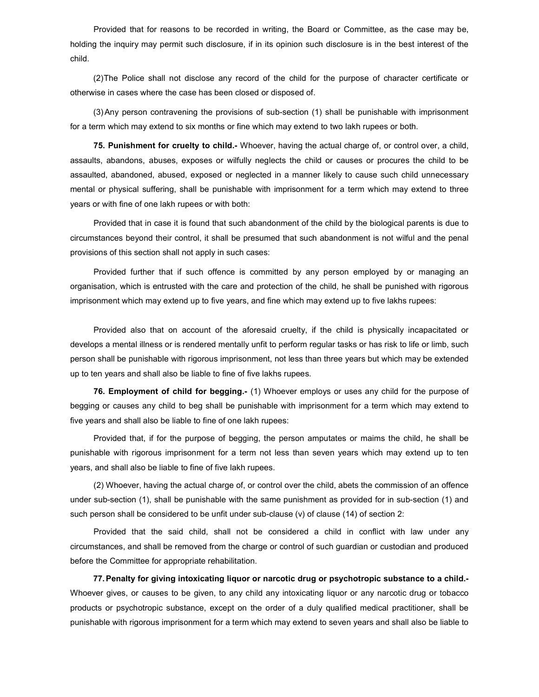Provided that for reasons to be recorded in writing, the Board or Committee, as the case may be, holding the inquiry may permit such disclosure, if in its opinion such disclosure is in the best interest of the child.

(2) The Police shall not disclose any record of the child for the purpose of character certificate or otherwise in cases where the case has been closed or disposed of.

(3) Any person contravening the provisions of sub-section (1) shall be punishable with imprisonment for a term which may extend to six months or fine which may extend to two lakh rupees or both.

75. Punishment for cruelty to child.- Whoever, having the actual charge of, or control over, a child, assaults, abandons, abuses, exposes or wilfully neglects the child or causes or procures the child to be assaulted, abandoned, abused, exposed or neglected in a manner likely to cause such child unnecessary mental or physical suffering, shall be punishable with imprisonment for a term which may extend to three years or with fine of one lakh rupees or with both:

Provided that in case it is found that such abandonment of the child by the biological parents is due to circumstances beyond their control, it shall be presumed that such abandonment is not wilful and the penal provisions of this section shall not apply in such cases:

Provided further that if such offence is committed by any person employed by or managing an organisation, which is entrusted with the care and protection of the child, he shall be punished with rigorous imprisonment which may extend up to five years, and fine which may extend up to five lakhs rupees:

Provided also that on account of the aforesaid cruelty, if the child is physically incapacitated or develops a mental illness or is rendered mentally unfit to perform regular tasks or has risk to life or limb, such person shall be punishable with rigorous imprisonment, not less than three years but which may be extended up to ten years and shall also be liable to fine of five lakhs rupees.

76. Employment of child for begging.- (1) Whoever employs or uses any child for the purpose of begging or causes any child to beg shall be punishable with imprisonment for a term which may extend to five years and shall also be liable to fine of one lakh rupees:

Provided that, if for the purpose of begging, the person amputates or maims the child, he shall be punishable with rigorous imprisonment for a term not less than seven years which may extend up to ten years, and shall also be liable to fine of five lakh rupees.

(2) Whoever, having the actual charge of, or control over the child, abets the commission of an offence under sub-section (1), shall be punishable with the same punishment as provided for in sub-section (1) and such person shall be considered to be unfit under sub-clause (v) of clause (14) of section 2:

Provided that the said child, shall not be considered a child in conflict with law under any circumstances, and shall be removed from the charge or control of such guardian or custodian and produced before the Committee for appropriate rehabilitation.

77. Penalty for giving intoxicating liquor or narcotic drug or psychotropic substance to a child.- Whoever gives, or causes to be given, to any child any intoxicating liquor or any narcotic drug or tobacco products or psychotropic substance, except on the order of a duly qualified medical practitioner, shall be punishable with rigorous imprisonment for a term which may extend to seven years and shall also be liable to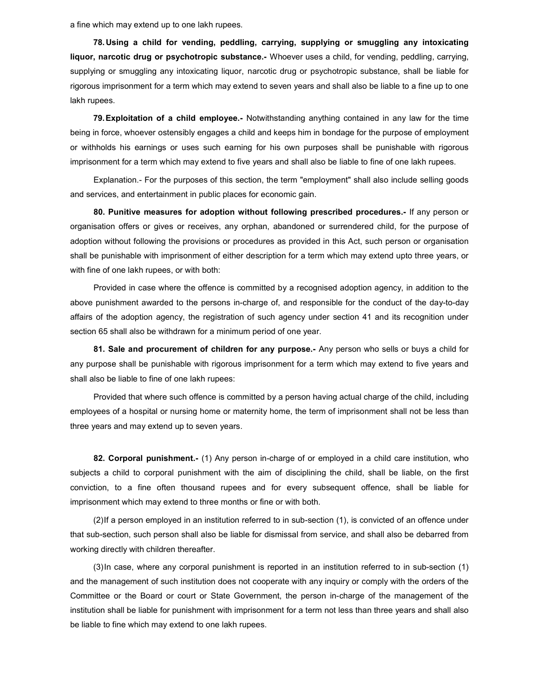a fine which may extend up to one lakh rupees.

78. Using a child for vending, peddling, carrying, supplying or smuggling any intoxicating liquor, narcotic drug or psychotropic substance.- Whoever uses a child, for vending, peddling, carrying, supplying or smuggling any intoxicating liquor, narcotic drug or psychotropic substance, shall be liable for rigorous imprisonment for a term which may extend to seven years and shall also be liable to a fine up to one lakh rupees.

79. Exploitation of a child employee.- Notwithstanding anything contained in any law for the time being in force, whoever ostensibly engages a child and keeps him in bondage for the purpose of employment or withholds his earnings or uses such earning for his own purposes shall be punishable with rigorous imprisonment for a term which may extend to five years and shall also be liable to fine of one lakh rupees.

Explanation.- For the purposes of this section, the term "employment" shall also include selling goods and services, and entertainment in public places for economic gain.

80. Punitive measures for adoption without following prescribed procedures.- If any person or organisation offers or gives or receives, any orphan, abandoned or surrendered child, for the purpose of adoption without following the provisions or procedures as provided in this Act, such person or organisation shall be punishable with imprisonment of either description for a term which may extend upto three years, or with fine of one lakh rupees, or with both:

Provided in case where the offence is committed by a recognised adoption agency, in addition to the above punishment awarded to the persons in-charge of, and responsible for the conduct of the day-to-day affairs of the adoption agency, the registration of such agency under section 41 and its recognition under section 65 shall also be withdrawn for a minimum period of one year.

81. Sale and procurement of children for any purpose.- Any person who sells or buys a child for any purpose shall be punishable with rigorous imprisonment for a term which may extend to five years and shall also be liable to fine of one lakh rupees:

Provided that where such offence is committed by a person having actual charge of the child, including employees of a hospital or nursing home or maternity home, the term of imprisonment shall not be less than three years and may extend up to seven years.

82. Corporal punishment.- (1) Any person in-charge of or employed in a child care institution, who subjects a child to corporal punishment with the aim of disciplining the child, shall be liable, on the first conviction, to a fine often thousand rupees and for every subsequent offence, shall be liable for imprisonment which may extend to three months or fine or with both.

(2) If a person employed in an institution referred to in sub-section (1), is convicted of an offence under that sub-section, such person shall also be liable for dismissal from service, and shall also be debarred from working directly with children thereafter.

(3) In case, where any corporal punishment is reported in an institution referred to in sub-section (1) and the management of such institution does not cooperate with any inquiry or comply with the orders of the Committee or the Board or court or State Government, the person in-charge of the management of the institution shall be liable for punishment with imprisonment for a term not less than three years and shall also be liable to fine which may extend to one lakh rupees.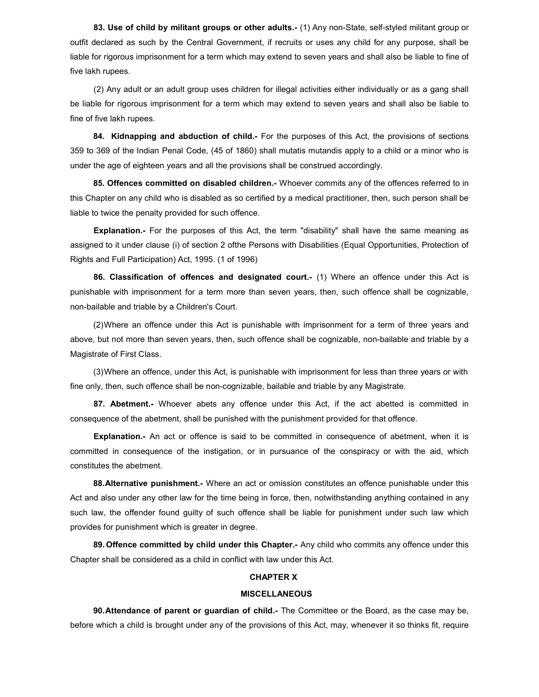83. Use of child by militant groups or other adults.- (1) Any non-State, self-styled militant group or outfit declared as such by the Central Government, if recruits or uses any child for any purpose, shall be liable for rigorous imprisonment for a term which may extend to seven years and shall also be liable to fine of five lakh rupees.

(2) Any adult or an adult group uses children for illegal activities either individually or as a gang shall be liable for rigorous imprisonment for a term which may extend to seven years and shall also be liable to fine of five lakh rupees.

84. Kidnapping and abduction of child.- For the purposes of this Act, the provisions of sections 359 to 369 of the Indian Penal Code, (45 of 1860) shall mutatis mutandis apply to a child or a minor who is under the age of eighteen years and all the provisions shall be construed accordingly.

85. Offences committed on disabled children.- Whoever commits any of the offences referred to in this Chapter on any child who is disabled as so certified by a medical practitioner, then, such person shall be liable to twice the penalty provided for such offence.

Explanation.- For the purposes of this Act, the term "disability" shall have the same meaning as assigned to it under clause (i) of section 2 ofthe Persons with Disabilities (Equal Opportunities, Protection of Rights and Full Participation) Act, 1995. (1 of 1996)

86. Classification of offences and designated court.- (1) Where an offence under this Act is punishable with imprisonment for a term more than seven years, then, such offence shall be cognizable, non-bailable and triable by a Children's Court.

(2) Where an offence under this Act is punishable with imprisonment for a term of three years and above, but not more than seven years, then, such offence shall be cognizable, non-bailable and triable by a Magistrate of First Class.

(3) Where an offence, under this Act, is punishable with imprisonment for less than three years or with fine only, then, such offence shall be non-cognizable, bailable and triable by any Magistrate.

87. Abetment.- Whoever abets any offence under this Act, if the act abetted is committed in consequence of the abetment, shall be punished with the punishment provided for that offence.

Explanation.- An act or offence is said to be committed in consequence of abetment, when it is committed in consequence of the instigation, or in pursuance of the conspiracy or with the aid, which constitutes the abetment.

88. Alternative punishment.- Where an act or omission constitutes an offence punishable under this Act and also under any other law for the time being in force, then, notwithstanding anything contained in any such law, the offender found guilty of such offence shall be liable for punishment under such law which provides for punishment which is greater in degree.

89. Offence committed by child under this Chapter.- Any child who commits any offence under this Chapter shall be considered as a child in conflict with law under this Act.

## CHAPTER X

### MISCELLANEOUS

90. Attendance of parent or guardian of child.- The Committee or the Board, as the case may be, before which a child is brought under any of the provisions of this Act, may, whenever it so thinks fit, require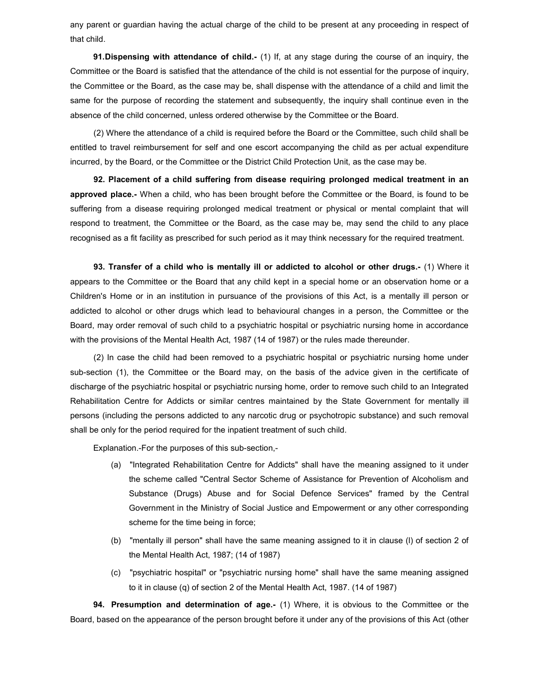any parent or guardian having the actual charge of the child to be present at any proceeding in respect of that child.

**91. Dispensing with attendance of child.-** (1) If, at any stage during the course of an inquiry, the Committee or the Board is satisfied that the attendance of the child is not essential for the purpose of inquiry, the Committee or the Board, as the case may be, shall dispense with the attendance of a child and limit the same for the purpose of recording the statement and subsequently, the inquiry shall continue even in the absence of the child concerned, unless ordered otherwise by the Committee or the Board.

(2) Where the attendance of a child is required before the Board or the Committee, such child shall be entitled to travel reimbursement for self and one escort accompanying the child as per actual expenditure incurred, by the Board, or the Committee or the District Child Protection Unit, as the case may be.

92. Placement of a child suffering from disease requiring prolonged medical treatment in an approved place.- When a child, who has been brought before the Committee or the Board, is found to be suffering from a disease requiring prolonged medical treatment or physical or mental complaint that will respond to treatment, the Committee or the Board, as the case may be, may send the child to any place recognised as a fit facility as prescribed for such period as it may think necessary for the required treatment.

93. Transfer of a child who is mentally ill or addicted to alcohol or other drugs.- (1) Where it appears to the Committee or the Board that any child kept in a special home or an observation home or a Children's Home or in an institution in pursuance of the provisions of this Act, is a mentally ill person or addicted to alcohol or other drugs which lead to behavioural changes in a person, the Committee or the Board, may order removal of such child to a psychiatric hospital or psychiatric nursing home in accordance with the provisions of the Mental Health Act, 1987 (14 of 1987) or the rules made thereunder.

(2) In case the child had been removed to a psychiatric hospital or psychiatric nursing home under sub-section (1), the Committee or the Board may, on the basis of the advice given in the certificate of discharge of the psychiatric hospital or psychiatric nursing home, order to remove such child to an Integrated Rehabilitation Centre for Addicts or similar centres maintained by the State Government for mentally ill persons (including the persons addicted to any narcotic drug or psychotropic substance) and such removal shall be only for the period required for the inpatient treatment of such child.

Explanation.-For the purposes of this sub-section,-

- (a) "Integrated Rehabilitation Centre for Addicts" shall have the meaning assigned to it under the scheme called "Central Sector Scheme of Assistance for Prevention of Alcoholism and Substance (Drugs) Abuse and for Social Defence Services" framed by the Central Government in the Ministry of Social Justice and Empowerment or any other corresponding scheme for the time being in force;
- (b) "mentally ill person" shall have the same meaning assigned to it in clause (l) of section 2 of the Mental Health Act, 1987; (14 of 1987)
- (c) "psychiatric hospital" or "psychiatric nursing home" shall have the same meaning assigned to it in clause (q) of section 2 of the Mental Health Act, 1987. (14 of 1987)

**94. Presumption and determination of age.-** (1) Where, it is obvious to the Committee or the Board, based on the appearance of the person brought before it under any of the provisions of this Act (other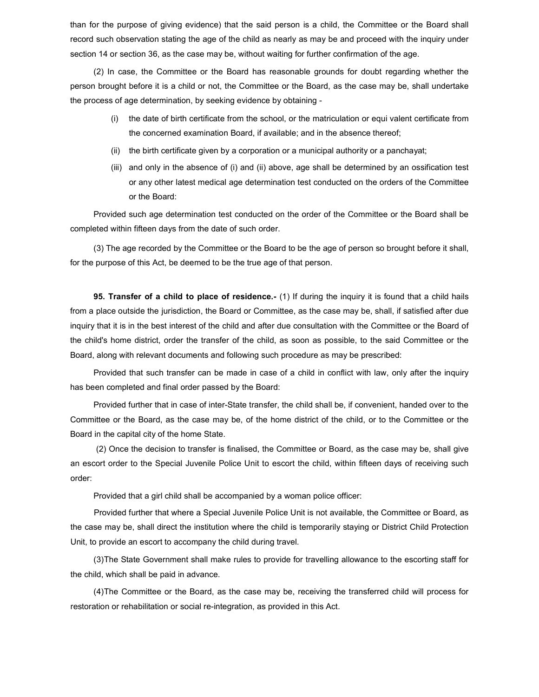than for the purpose of giving evidence) that the said person is a child, the Committee or the Board shall record such observation stating the age of the child as nearly as may be and proceed with the inquiry under section 14 or section 36, as the case may be, without waiting for further confirmation of the age.

(2) In case, the Committee or the Board has reasonable grounds for doubt regarding whether the person brought before it is a child or not, the Committee or the Board, as the case may be, shall undertake the process of age determination, by seeking evidence by obtaining -

- (i) the date of birth certificate from the school, or the matriculation or equi valent certificate from the concerned examination Board, if available; and in the absence thereof;
- (ii) the birth certificate given by a corporation or a municipal authority or a panchayat;
- (iii) and only in the absence of (i) and (ii) above, age shall be determined by an ossification test or any other latest medical age determination test conducted on the orders of the Committee or the Board:

Provided such age determination test conducted on the order of the Committee or the Board shall be completed within fifteen days from the date of such order.

(3) The age recorded by the Committee or the Board to be the age of person so brought before it shall, for the purpose of this Act, be deemed to be the true age of that person.

**95. Transfer of a child to place of residence.** (1) If during the inquiry it is found that a child hails from a place outside the jurisdiction, the Board or Committee, as the case may be, shall, if satisfied after due inquiry that it is in the best interest of the child and after due consultation with the Committee or the Board of the child's home district, order the transfer of the child, as soon as possible, to the said Committee or the Board, along with relevant documents and following such procedure as may be prescribed:

Provided that such transfer can be made in case of a child in conflict with law, only after the inquiry has been completed and final order passed by the Board:

Provided further that in case of inter-State transfer, the child shall be, if convenient, handed over to the Committee or the Board, as the case may be, of the home district of the child, or to the Committee or the Board in the capital city of the home State.

 (2) Once the decision to transfer is finalised, the Committee or Board, as the case may be, shall give an escort order to the Special Juvenile Police Unit to escort the child, within fifteen days of receiving such order:

Provided that a girl child shall be accompanied by a woman police officer:

Provided further that where a Special Juvenile Police Unit is not available, the Committee or Board, as the case may be, shall direct the institution where the child is temporarily staying or District Child Protection Unit, to provide an escort to accompany the child during travel.

(3) The State Government shall make rules to provide for travelling allowance to the escorting staff for the child, which shall be paid in advance.

(4) The Committee or the Board, as the case may be, receiving the transferred child will process for restoration or rehabilitation or social re-integration, as provided in this Act.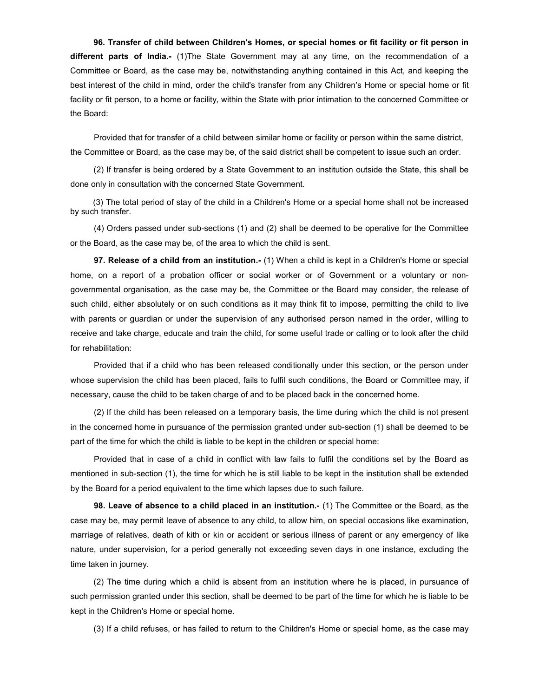96. Transfer of child between Children's Homes, or special homes or fit facility or fit person in different parts of India.- (1)The State Government may at any time, on the recommendation of a Committee or Board, as the case may be, notwithstanding anything contained in this Act, and keeping the best interest of the child in mind, order the child's transfer from any Children's Home or special home or fit facility or fit person, to a home or facility, within the State with prior intimation to the concerned Committee or the Board:

Provided that for transfer of a child between similar home or facility or person within the same district, the Committee or Board, as the case may be, of the said district shall be competent to issue such an order.

(2) If transfer is being ordered by a State Government to an institution outside the State, this shall be done only in consultation with the concerned State Government.

 (3) The total period of stay of the child in a Children's Home or a special home shall not be increased by such transfer.

(4) Orders passed under sub-sections (1) and (2) shall be deemed to be operative for the Committee or the Board, as the case may be, of the area to which the child is sent.

97. Release of a child from an institution.- (1) When a child is kept in a Children's Home or special home, on a report of a probation officer or social worker or of Government or a voluntary or nongovernmental organisation, as the case may be, the Committee or the Board may consider, the release of such child, either absolutely or on such conditions as it may think fit to impose, permitting the child to live with parents or guardian or under the supervision of any authorised person named in the order, willing to receive and take charge, educate and train the child, for some useful trade or calling or to look after the child for rehabilitation:

Provided that if a child who has been released conditionally under this section, or the person under whose supervision the child has been placed, fails to fulfil such conditions, the Board or Committee may, if necessary, cause the child to be taken charge of and to be placed back in the concerned home.

(2) If the child has been released on a temporary basis, the time during which the child is not present in the concerned home in pursuance of the permission granted under sub-section (1) shall be deemed to be part of the time for which the child is liable to be kept in the children or special home:

Provided that in case of a child in conflict with law fails to fulfil the conditions set by the Board as mentioned in sub-section (1), the time for which he is still liable to be kept in the institution shall be extended by the Board for a period equivalent to the time which lapses due to such failure.

98. Leave of absence to a child placed in an institution.- (1) The Committee or the Board, as the case may be, may permit leave of absence to any child, to allow him, on special occasions like examination, marriage of relatives, death of kith or kin or accident or serious illness of parent or any emergency of like nature, under supervision, for a period generally not exceeding seven days in one instance, excluding the time taken in journey.

(2) The time during which a child is absent from an institution where he is placed, in pursuance of such permission granted under this section, shall be deemed to be part of the time for which he is liable to be kept in the Children's Home or special home.

(3) If a child refuses, or has failed to return to the Children's Home or special home, as the case may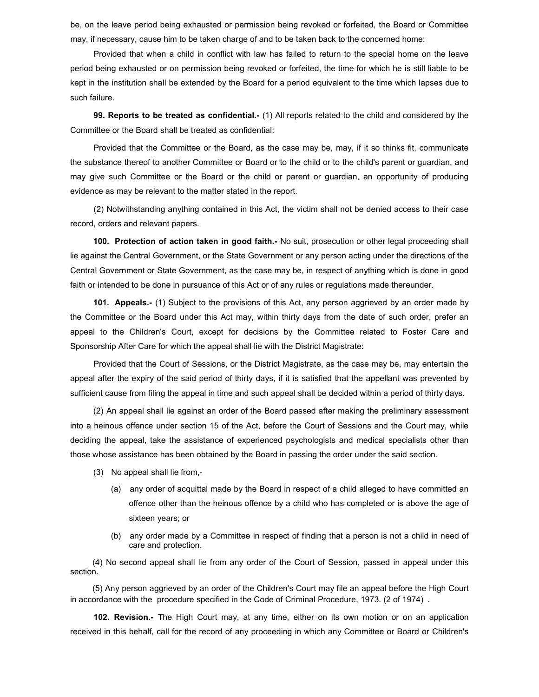be, on the leave period being exhausted or permission being revoked or forfeited, the Board or Committee may, if necessary, cause him to be taken charge of and to be taken back to the concerned home:

Provided that when a child in conflict with law has failed to return to the special home on the leave period being exhausted or on permission being revoked or forfeited, the time for which he is still liable to be kept in the institution shall be extended by the Board for a period equivalent to the time which lapses due to such failure.

99. Reports to be treated as confidential.- (1) All reports related to the child and considered by the Committee or the Board shall be treated as confidential:

Provided that the Committee or the Board, as the case may be, may, if it so thinks fit, communicate the substance thereof to another Committee or Board or to the child or to the child's parent or guardian, and may give such Committee or the Board or the child or parent or guardian, an opportunity of producing evidence as may be relevant to the matter stated in the report.

(2) Notwithstanding anything contained in this Act, the victim shall not be denied access to their case record, orders and relevant papers.

100. Protection of action taken in good faith.- No suit, prosecution or other legal proceeding shall lie against the Central Government, or the State Government or any person acting under the directions of the Central Government or State Government, as the case may be, in respect of anything which is done in good faith or intended to be done in pursuance of this Act or of any rules or regulations made thereunder.

101. Appeals.- (1) Subject to the provisions of this Act, any person aggrieved by an order made by the Committee or the Board under this Act may, within thirty days from the date of such order, prefer an appeal to the Children's Court, except for decisions by the Committee related to Foster Care and Sponsorship After Care for which the appeal shall lie with the District Magistrate:

Provided that the Court of Sessions, or the District Magistrate, as the case may be, may entertain the appeal after the expiry of the said period of thirty days, if it is satisfied that the appellant was prevented by sufficient cause from filing the appeal in time and such appeal shall be decided within a period of thirty days.

(2) An appeal shall lie against an order of the Board passed after making the preliminary assessment into a heinous offence under section 15 of the Act, before the Court of Sessions and the Court may, while deciding the appeal, take the assistance of experienced psychologists and medical specialists other than those whose assistance has been obtained by the Board in passing the order under the said section.

- (3) No appeal shall lie from,-
	- (a) any order of acquittal made by the Board in respect of a child alleged to have committed an offence other than the heinous offence by a child who has completed or is above the age of sixteen years; or
	- (b) any order made by a Committee in respect of finding that a person is not a child in need of care and protection.

 (4) No second appeal shall lie from any order of the Court of Session, passed in appeal under this section.

 (5) Any person aggrieved by an order of the Children's Court may file an appeal before the High Court in accordance with the procedure specified in the Code of Criminal Procedure, 1973. (2 of 1974) .

102. Revision.- The High Court may, at any time, either on its own motion or on an application received in this behalf, call for the record of any proceeding in which any Committee or Board or Children's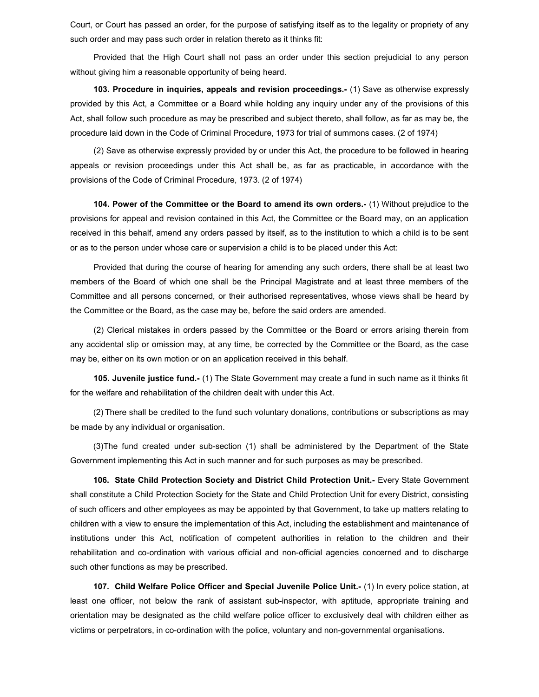Court, or Court has passed an order, for the purpose of satisfying itself as to the legality or propriety of any such order and may pass such order in relation thereto as it thinks fit:

Provided that the High Court shall not pass an order under this section prejudicial to any person without giving him a reasonable opportunity of being heard.

103. Procedure in inquiries, appeals and revision proceedings.- (1) Save as otherwise expressly provided by this Act, a Committee or a Board while holding any inquiry under any of the provisions of this Act, shall follow such procedure as may be prescribed and subject thereto, shall follow, as far as may be, the procedure laid down in the Code of Criminal Procedure, 1973 for trial of summons cases. (2 of 1974)

(2) Save as otherwise expressly provided by or under this Act, the procedure to be followed in hearing appeals or revision proceedings under this Act shall be, as far as practicable, in accordance with the provisions of the Code of Criminal Procedure, 1973. (2 of 1974)

104. Power of the Committee or the Board to amend its own orders.- (1) Without prejudice to the provisions for appeal and revision contained in this Act, the Committee or the Board may, on an application received in this behalf, amend any orders passed by itself, as to the institution to which a child is to be sent or as to the person under whose care or supervision a child is to be placed under this Act:

Provided that during the course of hearing for amending any such orders, there shall be at least two members of the Board of which one shall be the Principal Magistrate and at least three members of the Committee and all persons concerned, or their authorised representatives, whose views shall be heard by the Committee or the Board, as the case may be, before the said orders are amended.

(2) Clerical mistakes in orders passed by the Committee or the Board or errors arising therein from any accidental slip or omission may, at any time, be corrected by the Committee or the Board, as the case may be, either on its own motion or on an application received in this behalf.

105. Juvenile justice fund.- (1) The State Government may create a fund in such name as it thinks fit for the welfare and rehabilitation of the children dealt with under this Act.

(2) There shall be credited to the fund such voluntary donations, contributions or subscriptions as may be made by any individual or organisation.

(3) The fund created under sub-section (1) shall be administered by the Department of the State Government implementing this Act in such manner and for such purposes as may be prescribed.

106. State Child Protection Society and District Child Protection Unit.- Every State Government shall constitute a Child Protection Society for the State and Child Protection Unit for every District, consisting of such officers and other employees as may be appointed by that Government, to take up matters relating to children with a view to ensure the implementation of this Act, including the establishment and maintenance of institutions under this Act, notification of competent authorities in relation to the children and their rehabilitation and co-ordination with various official and non-official agencies concerned and to discharge such other functions as may be prescribed.

107. Child Welfare Police Officer and Special Juvenile Police Unit.- (1) In every police station, at least one officer, not below the rank of assistant sub-inspector, with aptitude, appropriate training and orientation may be designated as the child welfare police officer to exclusively deal with children either as victims or perpetrators, in co-ordination with the police, voluntary and non-governmental organisations.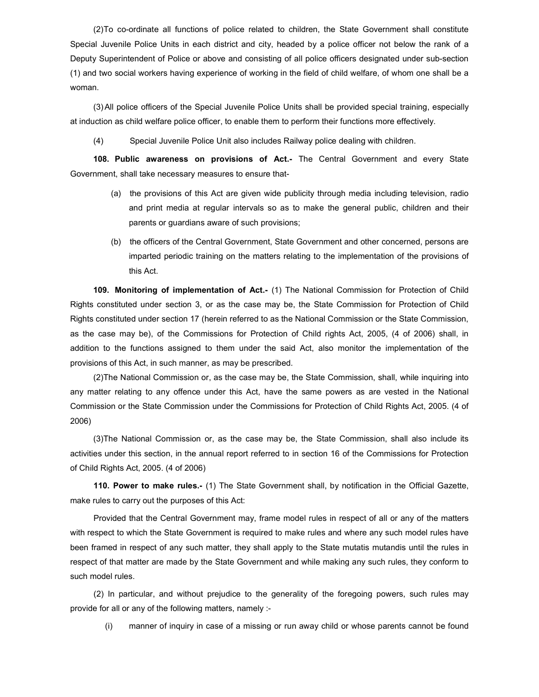(2) To co-ordinate all functions of police related to children, the State Government shall constitute Special Juvenile Police Units in each district and city, headed by a police officer not below the rank of a Deputy Superintendent of Police or above and consisting of all police officers designated under sub-section (1) and two social workers having experience of working in the field of child welfare, of whom one shall be a woman.

(3) All police officers of the Special Juvenile Police Units shall be provided special training, especially at induction as child welfare police officer, to enable them to perform their functions more effectively.

(4) Special Juvenile Police Unit also includes Railway police dealing with children.

108. Public awareness on provisions of Act.- The Central Government and every State Government, shall take necessary measures to ensure that-

- (a) the provisions of this Act are given wide publicity through media including television, radio and print media at regular intervals so as to make the general public, children and their parents or guardians aware of such provisions;
- (b) the officers of the Central Government, State Government and other concerned, persons are imparted periodic training on the matters relating to the implementation of the provisions of this Act.

109. Monitoring of implementation of Act.- (1) The National Commission for Protection of Child Rights constituted under section 3, or as the case may be, the State Commission for Protection of Child Rights constituted under section 17 (herein referred to as the National Commission or the State Commission, as the case may be), of the Commissions for Protection of Child rights Act, 2005, (4 of 2006) shall, in addition to the functions assigned to them under the said Act, also monitor the implementation of the provisions of this Act, in such manner, as may be prescribed.

(2) The National Commission or, as the case may be, the State Commission, shall, while inquiring into any matter relating to any offence under this Act, have the same powers as are vested in the National Commission or the State Commission under the Commissions for Protection of Child Rights Act, 2005. (4 of 2006)

(3) The National Commission or, as the case may be, the State Commission, shall also include its activities under this section, in the annual report referred to in section 16 of the Commissions for Protection of Child Rights Act, 2005. (4 of 2006)

110. Power to make rules.- (1) The State Government shall, by notification in the Official Gazette, make rules to carry out the purposes of this Act:

Provided that the Central Government may, frame model rules in respect of all or any of the matters with respect to which the State Government is required to make rules and where any such model rules have been framed in respect of any such matter, they shall apply to the State mutatis mutandis until the rules in respect of that matter are made by the State Government and while making any such rules, they conform to such model rules.

(2) In particular, and without prejudice to the generality of the foregoing powers, such rules may provide for all or any of the following matters, namely :-

(i) manner of inquiry in case of a missing or run away child or whose parents cannot be found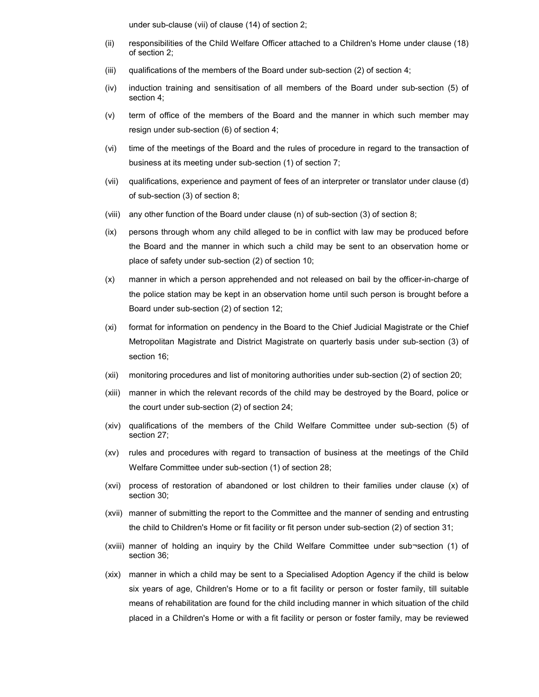under sub-clause (vii) of clause (14) of section 2;

- (ii) responsibilities of the Child Welfare Officer attached to a Children's Home under clause (18) of section 2;
- (iii) qualifications of the members of the Board under sub-section  $(2)$  of section 4;
- (iv) induction training and sensitisation of all members of the Board under sub-section (5) of section 4;
- (v) term of office of the members of the Board and the manner in which such member may resign under sub-section (6) of section 4;
- (vi) time of the meetings of the Board and the rules of procedure in regard to the transaction of business at its meeting under sub-section (1) of section 7;
- (vii) qualifications, experience and payment of fees of an interpreter or translator under clause (d) of sub-section (3) of section 8;
- (viii) any other function of the Board under clause (n) of sub-section (3) of section 8;
- (ix) persons through whom any child alleged to be in conflict with law may be produced before the Board and the manner in which such a child may be sent to an observation home or place of safety under sub-section (2) of section 10;
- (x) manner in which a person apprehended and not released on bail by the officer-in-charge of the police station may be kept in an observation home until such person is brought before a Board under sub-section (2) of section 12;
- (xi) format for information on pendency in the Board to the Chief Judicial Magistrate or the Chief Metropolitan Magistrate and District Magistrate on quarterly basis under sub-section (3) of section 16;
- (xii) monitoring procedures and list of monitoring authorities under sub-section (2) of section 20;
- (xiii) manner in which the relevant records of the child may be destroyed by the Board, police or the court under sub-section (2) of section 24;
- (xiv) qualifications of the members of the Child Welfare Committee under sub-section (5) of section 27;
- (xv) rules and procedures with regard to transaction of business at the meetings of the Child Welfare Committee under sub-section (1) of section 28;
- (xvi) process of restoration of abandoned or lost children to their families under clause (x) of section 30;
- (xvii) manner of submitting the report to the Committee and the manner of sending and entrusting the child to Children's Home or fit facility or fit person under sub-section (2) of section 31;
- (xviii) manner of holding an inquiry by the Child Welfare Committee under sub¬section (1) of section 36;
- (xix) manner in which a child may be sent to a Specialised Adoption Agency if the child is below six years of age, Children's Home or to a fit facility or person or foster family, till suitable means of rehabilitation are found for the child including manner in which situation of the child placed in a Children's Home or with a fit facility or person or foster family, may be reviewed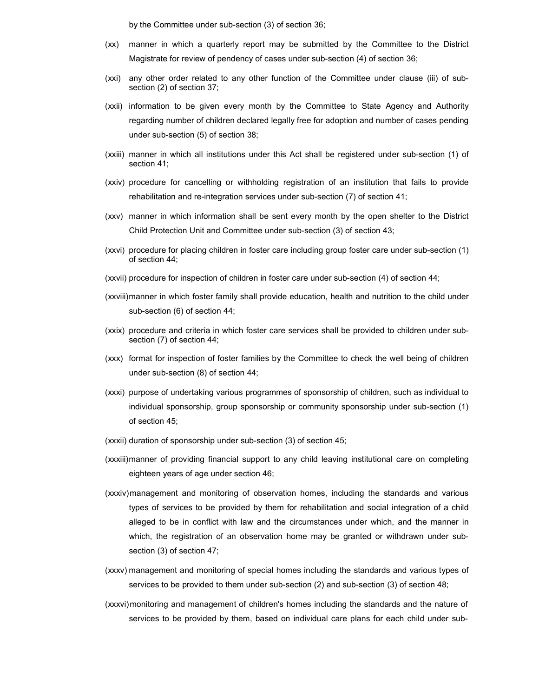by the Committee under sub-section (3) of section 36;

- (xx) manner in which a quarterly report may be submitted by the Committee to the District Magistrate for review of pendency of cases under sub-section (4) of section 36;
- (xxi) any other order related to any other function of the Committee under clause (iii) of subsection (2) of section 37;
- (xxii) information to be given every month by the Committee to State Agency and Authority regarding number of children declared legally free for adoption and number of cases pending under sub-section (5) of section 38;
- (xxiii) manner in which all institutions under this Act shall be registered under sub-section (1) of section 41;
- (xxiv) procedure for cancelling or withholding registration of an institution that fails to provide rehabilitation and re-integration services under sub-section (7) of section 41;
- (xxv) manner in which information shall be sent every month by the open shelter to the District Child Protection Unit and Committee under sub-section (3) of section 43;
- (xxvi) procedure for placing children in foster care including group foster care under sub-section (1) of section 44;
- (xxvii) procedure for inspection of children in foster care under sub-section (4) of section 44;
- (xxviii) manner in which foster family shall provide education, health and nutrition to the child under sub-section (6) of section 44;
- (xxix) procedure and criteria in which foster care services shall be provided to children under subsection (7) of section 44;
- (xxx) format for inspection of foster families by the Committee to check the well being of children under sub-section (8) of section 44;
- (xxxi) purpose of undertaking various programmes of sponsorship of children, such as individual to individual sponsorship, group sponsorship or community sponsorship under sub-section (1) of section 45;
- (xxxii) duration of sponsorship under sub-section (3) of section 45;
- (xxxiii) manner of providing financial support to any child leaving institutional care on completing eighteen years of age under section 46;
- (xxxiv) management and monitoring of observation homes, including the standards and various types of services to be provided by them for rehabilitation and social integration of a child alleged to be in conflict with law and the circumstances under which, and the manner in which, the registration of an observation home may be granted or withdrawn under subsection (3) of section 47;
- (xxxv) management and monitoring of special homes including the standards and various types of services to be provided to them under sub-section (2) and sub-section (3) of section 48;
- (xxxvi) monitoring and management of children's homes including the standards and the nature of services to be provided by them, based on individual care plans for each child under sub-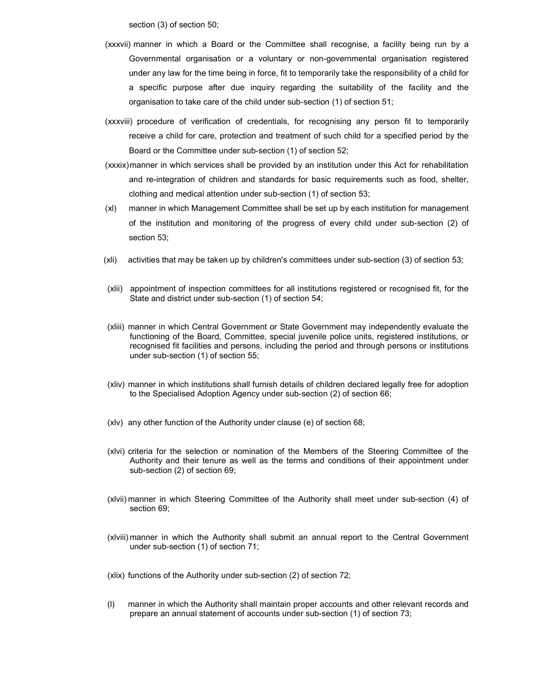section (3) of section 50;

- (xxxvii) manner in which a Board or the Committee shall recognise, a facility being run by a Governmental organisation or a voluntary or non-governmental organisation registered under any law for the time being in force, fit to temporarily take the responsibility of a child for a specific purpose after due inquiry regarding the suitability of the facility and the organisation to take care of the child under sub-section (1) of section 51;
- (xxxviii) procedure of verification of credentials, for recognising any person fit to temporarily receive a child for care, protection and treatment of such child for a specified period by the Board or the Committee under sub-section (1) of section 52;
- (xxxix) manner in which services shall be provided by an institution under this Act for rehabilitation and re-integration of children and standards for basic requirements such as food, shelter, clothing and medical attention under sub-section (1) of section 53;
- (xl) manner in which Management Committee shall be set up by each institution for management of the institution and monitoring of the progress of every child under sub-section (2) of section 53;
- (xli) activities that may be taken up by children's committees under sub-section (3) of section 53;
- (xlii) appointment of inspection committees for all institutions registered or recognised fit, for the State and district under sub-section (1) of section 54;
- (xliii) manner in which Central Government or State Government may independently evaluate the functioning of the Board, Committee, special juvenile police units, registered institutions, or recognised fit facilities and persons, including the period and through persons or institutions under sub-section (1) of section 55;
- (xliv) manner in which institutions shall furnish details of children declared legally free for adoption to the Specialised Adoption Agency under sub-section (2) of section 66;
- (xlv) any other function of the Authority under clause (e) of section 68;
- (xlvi) criteria for the selection or nomination of the Members of the Steering Committee of the Authority and their tenure as well as the terms and conditions of their appointment under sub-section (2) of section 69;
- (xlvii) manner in which Steering Committee of the Authority shall meet under sub-section (4) of section 69;
- (xlviii) manner in which the Authority shall submit an annual report to the Central Government under sub-section (1) of section 71;

(xlix) functions of the Authority under sub-section (2) of section 72;

(l) manner in which the Authority shall maintain proper accounts and other relevant records and prepare an annual statement of accounts under sub-section (1) of section 73;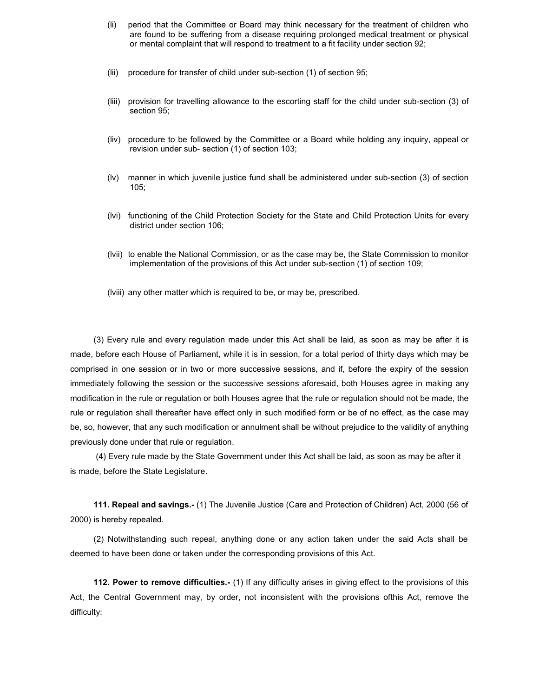- (li) period that the Committee or Board may think necessary for the treatment of children who are found to be suffering from a disease requiring prolonged medical treatment or physical or mental complaint that will respond to treatment to a fit facility under section 92;
- (lii) procedure for transfer of child under sub-section (1) of section 95;
- (liii) provision for travelling allowance to the escorting staff for the child under sub-section (3) of section 95;
- (liv) procedure to be followed by the Committee or a Board while holding any inquiry, appeal or revision under sub- section (1) of section 103;
- (lv) manner in which juvenile justice fund shall be administered under sub-section (3) of section 105;
- (lvi) functioning of the Child Protection Society for the State and Child Protection Units for every district under section 106;
- (lvii) to enable the National Commission, or as the case may be, the State Commission to monitor implementation of the provisions of this Act under sub-section (1) of section 109;
- (lviii) any other matter which is required to be, or may be, prescribed.

(3) Every rule and every regulation made under this Act shall be laid, as soon as may be after it is made, before each House of Parliament, while it is in session, for a total period of thirty days which may be comprised in one session or in two or more successive sessions, and if, before the expiry of the session immediately following the session or the successive sessions aforesaid, both Houses agree in making any modification in the rule or regulation or both Houses agree that the rule or regulation should not be made, the rule or regulation shall thereafter have effect only in such modified form or be of no effect, as the case may be, so, however, that any such modification or annulment shall be without prejudice to the validity of anything previously done under that rule or regulation.

 (4) Every rule made by the State Government under this Act shall be laid, as soon as may be after it is made, before the State Legislature.

111. Repeal and savings.- (1) The Juvenile Justice (Care and Protection of Children) Act, 2000 (56 of 2000) is hereby repealed.

(2) Notwithstanding such repeal, anything done or any action taken under the said Acts shall be deemed to have been done or taken under the corresponding provisions of this Act.

112. Power to remove difficulties.- (1) If any difficulty arises in giving effect to the provisions of this Act, the Central Government may, by order, not inconsistent with the provisions ofthis Act, remove the difficulty: